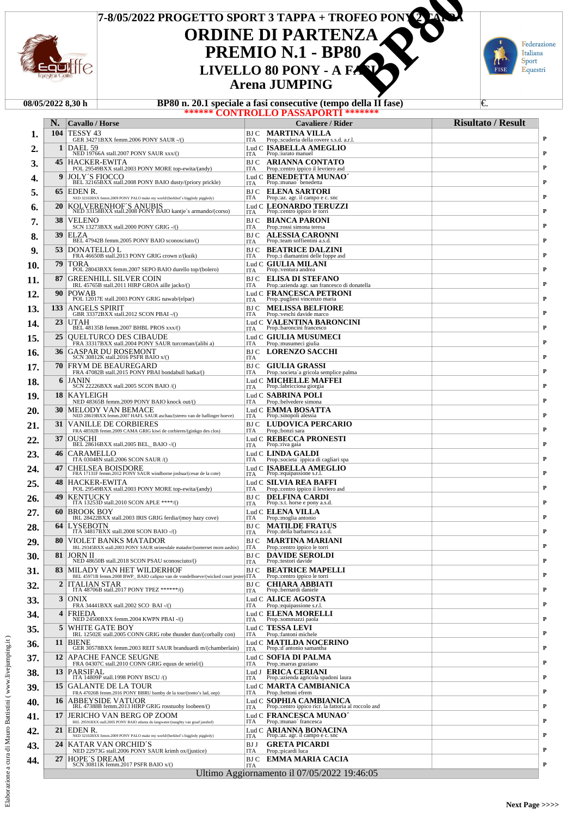

# **ORDINE DI PARTENZA PREMIO N.1 - BP80 Arena JUMPING 7-8/05/2022 PROGETTO SPORT 3 TAPPA + TROFEO PONY 2 TAPPA CONTRET ANDINE DI PARTENZA<br>
PREMIO N.1 - BP80<br>
LIVELLO 80 PONY - A FANTENZA<br>
Arena JUMPING<br>
D.1 speciale a fasi consecutive (tempo della II fase)**



| BP80 n. 20.1 speciale a fasi consecutive (tempo della II fase)<br>€.<br>08/05/2022 8.30 h |                 |                                                                                                                |                                                                                               |                           |  |  |  |  |
|-------------------------------------------------------------------------------------------|-----------------|----------------------------------------------------------------------------------------------------------------|-----------------------------------------------------------------------------------------------|---------------------------|--|--|--|--|
|                                                                                           |                 |                                                                                                                | <b>****** CONTROLLO PASSAPORTI ********</b>                                                   |                           |  |  |  |  |
|                                                                                           | N.<br>104       | <b>Cavallo</b> / Horse<br>TESSY 43                                                                             | Cavaliere / Rider<br>BJ C MARTINA VILLA                                                       | <b>Risultato / Result</b> |  |  |  |  |
| 1.                                                                                        | 1               | GER 34271BXX femm.2006 PONY SAUR -/()<br>DAEL 59                                                               | <b>ITA</b><br>Prop.:scuderia della rovere s.s.d. a.r.l.<br>Lud C ISABELLA AMEGLIO             | P                         |  |  |  |  |
| 2.                                                                                        |                 | NED 19766A stall.2007 PONY SAUR xxx/()                                                                         | Prop.:iurato manuel<br><b>ITA</b>                                                             | P                         |  |  |  |  |
| 3.                                                                                        |                 | 45   HACKER-EWITA<br>POL 29549BXX stall.2003 PONY MORE top-ewita/(andy)                                        | <b>ARIANNA CONTATO</b><br>BJ C<br><b>ITA</b><br>Prop.:centro ippico il levriero asd           | P                         |  |  |  |  |
| 4.                                                                                        | 9               | <b>JOLY'S FIOCCO</b><br>BEL 32165BXX stall.2008 PONY BAIO dusty/(priory prickle)                               | Lud C BENEDETTA MUNAO <sup>*</sup><br>Prop.:munao' benedetta<br><b>ITA</b>                    | P                         |  |  |  |  |
| 5.                                                                                        |                 | 65   EDEN R.<br>NED 32102BXX femm.2009 PONY PALO make my world/(berkhof's higgledy piggledy)                   | <b>ELENA SARTORI</b><br>BJ C<br><b>ITA</b><br>Prop.:az. agr. il campo e c. snc                | P                         |  |  |  |  |
| 6.                                                                                        | <b>20</b>       | KOLVERENHOF'S ANUBIS<br>NED 33158BXX stall.2008 PONY BAIO kantje's armando/(corso)                             | Lud C LEONARDO TERUZZI<br>Prop.:centro ippico le torri<br><b>ITA</b>                          | P                         |  |  |  |  |
| 7.                                                                                        | 38              | <b>VELENO</b><br>SCN 13273BXX stall.2000 PONY GRIG -/()                                                        | <b>BIANCA PARONI</b><br>BJ C<br><b>ITA</b><br>Prop.: rossi simona teresa                      | P                         |  |  |  |  |
| 8.                                                                                        | 39              | ELZA<br>BEL 47942B femm.2005 PONY BAIO sconosciuto/()                                                          | BJ C<br><b>ALESSIA CARONNI</b><br>Prop.:team soffientini a.s.d.                               | P                         |  |  |  |  |
| 9.                                                                                        | 53 I            | <b>DONATELLO L</b>                                                                                             | <b>ITA</b><br><b>BEATRICE DALZINI</b><br>BJ C                                                 |                           |  |  |  |  |
| 10.                                                                                       | 79              | FRA 46650B stall.2013 PONY GRIG crown z/(kuik)<br>TORA                                                         | <b>ITA</b><br>Prop.: i diamantini delle foppe asd<br>Lud C GIULIA MILANI                      | P                         |  |  |  |  |
| 11.                                                                                       | 87              | POL 28043BXX femm.2007 SEPO BAIO durello top/(bolero)<br><b>GREENHILL SILVER COIN</b>                          | Prop.:ventura andrea<br><b>ITA</b><br><b>ELISA DI STEFANO</b><br>BJ C                         | P                         |  |  |  |  |
|                                                                                           | 90              | IRL 45765B stall.2011 HIRP GROA aille jacko/()<br><b>POWAB</b>                                                 | <b>ITA</b><br>Prop.: azienda agr. san francesco di donatella<br>Lud C FRANCESCA PETRONI       | P                         |  |  |  |  |
| 12.                                                                                       |                 | POL 12017E stall.2003 PONY GRIG nawab/(elpar)                                                                  | Prop.:pugliesi vincenzo maria<br><b>ITA</b>                                                   | P                         |  |  |  |  |
| 13.                                                                                       | 133             | <b>ANGELS SPIRIT</b><br>GBR 33372BXX stall.2012 SCON PBAI -/()                                                 | <b>MELISSA BELFIORE</b><br>BJ C<br><b>ITA</b><br>Prop.: veschi davide marco                   | P                         |  |  |  |  |
| 14.                                                                                       | 23              | <b>UTAH</b><br>BEL 48135B femm.2007 BHBL PROS xxx/()                                                           | <b>Lud C VALENTINA BARONCINI</b><br>Prop.:baroncini francesco<br><b>ITA</b>                   | P                         |  |  |  |  |
| 15.                                                                                       | 25              | <b>OUELTURCO DES CIBAUDE</b><br>FRA 33317BXX stall.2004 PONY SAUR turcoman/(alibi a)                           | Lud C GIULIA MUSUMECI<br><b>ITA</b><br>Prop.: musumeci giulia                                 | P                         |  |  |  |  |
| 16.                                                                                       | 36              | <b>GASPAR DU ROSEMONT</b><br>SCN 30812K stall.2016 PSFR BAIO x/()                                              | <b>BJC LORENZO SACCHI</b><br><b>ITA</b>                                                       | P                         |  |  |  |  |
| 17.                                                                                       | 70              | <b>FRYM DE BEAUREGARD</b>                                                                                      | BJ C GIULIA GRASSI                                                                            | P                         |  |  |  |  |
| 18.                                                                                       | 6               | FRA 47082B stall.2015 PONY PBAI bondabull batka/()<br><b>JANIN</b>                                             | <b>ITA</b><br>Prop.:societa'a gricola semplice palma<br>Lud C MICHELLE MAFFEI                 |                           |  |  |  |  |
| 19.                                                                                       | 18 I            | SCN 22226BXX stall.2005 SCON BAIO /()<br>KAYLEIGH                                                              | Prop.:labricciosa giorgia<br><b>ITA</b><br>Lud C <b>SABRINA POLI</b>                          | P                         |  |  |  |  |
|                                                                                           | 30              | NED 48365B femm.2009 PONY BAIO knock out/()<br><b>MELODY VAN BEMACE</b>                                        | <b>ITA</b><br>Prop.:belvedere simona<br>Lud C <b>EMMA BOSATTA</b>                             | P                         |  |  |  |  |
| 20.                                                                                       |                 | NED 28619BXX femm.2007 HAFL SAUR aschau/(stereo van de haflinger hoeve)                                        | Prop.:sinopoli alessia<br><b>ITA</b>                                                          | P                         |  |  |  |  |
| 21.                                                                                       | 31              | <b>VANILLE DE CORBIERES</b><br>FRA 48592B femm.2009 CAMA GRIG kiwi de corbieres/(ginkgo des clos)              | LUDOVICA PERCARIO<br>BJ C<br><b>ITA</b><br>Prop.:bonzi sara                                   | P                         |  |  |  |  |
| 22.                                                                                       | 37              | <b>OUSCHI</b><br>BEL 28616BXX stall.2005 BEL_BAIO -/()                                                         | Lud C REBECCA PRONESTI<br>Prop.: riva gaia<br><b>ITA</b>                                      | P                         |  |  |  |  |
| 23.                                                                                       | 46              | CARAMELLO<br>ITA 03048N stall.2006 SCON SAUR /()                                                               | Lud C LINDA GALDI<br><b>ITA</b><br>Prop.:societa' ippica di cagliari spa                      | P                         |  |  |  |  |
| 24.                                                                                       | 47              | <b>CHELSEA BOISDORE</b><br>FRA 17131F femm.2012 PONY SAUR windborne joshua/(cesar de la cote)                  | Lud C ISABELLA AMEGLIO<br>Prop.:equipassione s.r.l.<br><b>ITA</b>                             | P                         |  |  |  |  |
| 25.                                                                                       | 48              | <b>HACKER-EWITA</b><br>POL 29549BXX stall.2003 PONY MORE top-ewita/(andy)                                      | Lud C SILVIA REA BAFFI<br><b>ITA</b><br>Prop.:centro ippico il levriero asd                   | P                         |  |  |  |  |
| 26.                                                                                       | 49              | KENTUCKY<br>ITA 13253D stall.2010 SCON APLE ****/()                                                            | BJ C<br><b>DELFINA CARDI</b><br>Prop.:s.t. horse e pony a.s.d.                                | P                         |  |  |  |  |
| 27.                                                                                       | 60              | <b>BROOK BOY</b>                                                                                               | <b>ITA</b><br>Lud C ELENA VILLA                                                               |                           |  |  |  |  |
| 28.                                                                                       | 64              | IRL 28422BXX stall.2003 IRIS GRIG ferdia/(moy hazy cove)<br><b>LYSEBOTN</b>                                    | Prop.: moglia antonio<br>ITA<br><b>MATILDE FRATUS</b><br><b>BJ</b> C                          | P                         |  |  |  |  |
| 29.                                                                                       | 80              | ITA 34817BXX stall.2008 SCON BAIO -/()<br><b>VIOLET BANKS MATADOR</b>                                          | Prop.: della barbaresca a.s.d.<br><b>ITA</b><br><b>BJ C MARTINA MARIANI</b>                   | P                         |  |  |  |  |
|                                                                                           | 81 I            | IRL 29345BXX stall.2003 PONY SAUR strinesdale matador/(somerset morn aashix)<br><b>JORN II</b>                 | ITA<br>Prop.:centro ippico le torri<br><b>DAVIDE SEROLDI</b><br>BJ C                          | P                         |  |  |  |  |
| 30.                                                                                       |                 | NED 48650B stall.2018 SCON PSAU sconosciuto/()                                                                 | Prop.:testori davide<br>ITA                                                                   | P                         |  |  |  |  |
| 31.                                                                                       | 83 I            | MILADY VAN HET WILDERHOF<br>BEL 45971B femm.2008 BWP BAIO calipso van de vondelhoeve/(wicked court jester) ITA | <b>BEATRICE MAPELLI</b><br>BJ C<br>Prop.:centro ippico le torri                               | P                         |  |  |  |  |
| 32.                                                                                       | $\overline{2}$  | <b>ITALIAN STAR</b><br>ITA 48706B stall.2017 PONY TPEZ ******/()                                               | BJ C<br><b>CHIARA ABBIATI</b><br>Prop.:bernardi daniele<br><b>ITA</b>                         | P                         |  |  |  |  |
| 33.                                                                                       | 3 <sup>1</sup>  | <b>ONIX</b><br>FRA 34441BXX stall.2002 SCO BAI -/()                                                            | Lud C ALICE AGOSTA<br><b>ITA</b><br>Prop.: equipassione s.r.l.                                | P                         |  |  |  |  |
| 34.                                                                                       | 4               | <b>FRIEDA</b><br>NED 24500BXX femm.2004 KWPN PBAI -/()                                                         | Lud C ELENA MORELLI<br>Prop.:sommazzi paola<br><b>ITA</b>                                     | P                         |  |  |  |  |
| 35.                                                                                       | 5               | WHITE GATE BOY                                                                                                 | Lud C TESSA LEVI                                                                              | P                         |  |  |  |  |
| 36.                                                                                       | 11              | IRL 12502E stall.2005 CONN GRIG robe thunder dun/(corbally con)<br><b>BIENE</b>                                | <b>ITA</b><br>Prop.:fantoni michele<br>Lud C MATILDA NOCERINO                                 |                           |  |  |  |  |
| 37.                                                                                       | 12 <sub>1</sub> | GER 30578BXX femm.2003 REIT SAUR branduardi m/(chamberlain)<br><b>APACHE FANCE SEUGNE</b>                      | Prop.:d'antonio samantha<br><b>ITA</b><br>Lud C <b>SOFIA DI PALMA</b>                         | P                         |  |  |  |  |
|                                                                                           |                 | FRA 04307C stall.2010 CONN GRIG equus de seriel/()<br>13 PARSIFAL                                              | ITA<br>Prop.: marras graziano<br>Lud J ERICA CERIANI                                          | P                         |  |  |  |  |
| 38.                                                                                       |                 | ITA 14809P stall.1998 PONY BSCU/()                                                                             | Prop.: azienda agricola spadoni laura<br><b>ITA</b>                                           | P                         |  |  |  |  |
| 39.                                                                                       |                 | 15 GALANTE DE LA TOUR<br>FRA 47026B femm.2016 PONY BBRU bamby de la tour/(tonto's lad, oep)                    | Lud C <b>MARTA CAMBIANICA</b><br><b>ITA</b><br>Prop.:bettoni efrem                            | P                         |  |  |  |  |
| 40.                                                                                       | 16              | <b>ABBEYSIDE VATUOR</b><br>IRL 47388B femm.2013 HIRP GRIG rosstuohy loobeen/()                                 | Lud C SOPHIA CAMBIANICA<br>Prop.:centro ippico ricr. la fattoria al roccolo asd<br><b>ITA</b> | P                         |  |  |  |  |
| 41.                                                                                       | 17 <sup>1</sup> | JERICHO VAN BERG OP ZOOM<br>BEL 29591BXX stall.2005 PONY BAIO atlanta du langwater/(naughty van graaf janshof) | Lud C FRANCESCA MUNAO'<br>ITA<br>Prop.:munao' francesca                                       | P                         |  |  |  |  |
| 42.                                                                                       | 21 <sub>1</sub> | EDEN R.<br>NED 32102BXX femm.2009 PONY PALO make my world/(berkhof's higgledy piggledy)                        | Lud C ARIANNA BONACINA<br>Prop.:az. agr. il campo e c. snc<br>ITA                             | P                         |  |  |  |  |
| 43.                                                                                       | 24 <sup>1</sup> | <b>KATAR VAN ORCHID'S</b><br>NED 22973G stall.2006 PONY SAUR krimh ox/(justice)                                | <b>GRETA PICARDI</b><br>BJ J<br>ITA<br>Prop.:picardi luca                                     | P                         |  |  |  |  |
| 44.                                                                                       | 27 <sup>1</sup> | <b>HOPE'S DREAM</b>                                                                                            | <b>BJ C EMMA MARIA CACIA</b>                                                                  | P                         |  |  |  |  |
|                                                                                           |                 | SCN 30811K femm.2017 PSFR BAIO x/()                                                                            | <b>ITA</b>                                                                                    |                           |  |  |  |  |

ITA **P** Ultimo Aggiornamento il 07/05/2022 19:46:05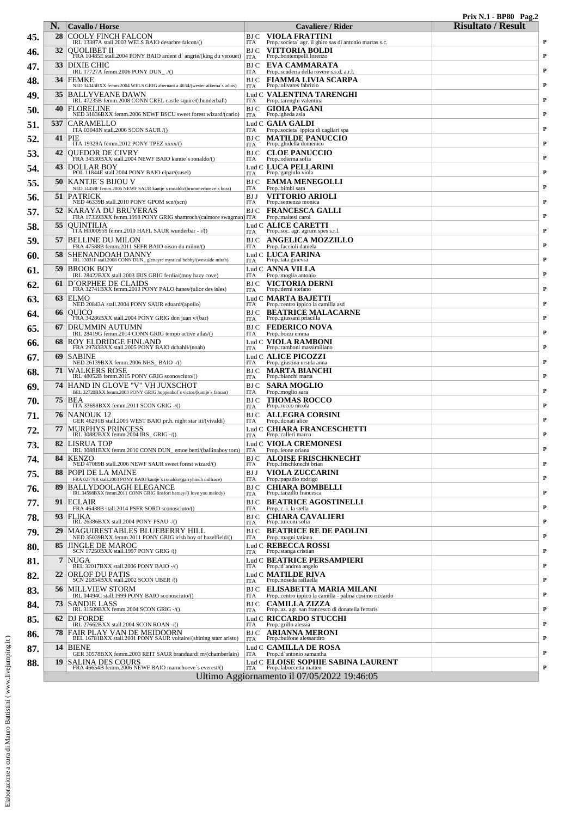|     |          |                                                                                                                                                    |                    |                                                                                                         | <b>Prix N.1 - BP80 Pag.2</b> |           |
|-----|----------|----------------------------------------------------------------------------------------------------------------------------------------------------|--------------------|---------------------------------------------------------------------------------------------------------|------------------------------|-----------|
| 45. | N.<br>28 | <b>Cavallo</b> / Horse<br><b>COOLY FINCH FALCON</b>                                                                                                | BJ C               | Cavaliere / Rider<br><b>VIOLA FRATTINI</b>                                                              | <b>Risultato</b> / Result    |           |
|     | 32       | IRL 13387A stall.2003 WELS BAIO desarbre falcon/()                                                                                                 | ITA<br>BJ C        | Prop.:societa' agr. il ghiro sas di antonio marras s.c.<br><b>VITTORIA BOLDI</b>                        |                              | P         |
| 46. |          | QUOLIBET II<br>FRA 10485E stall.2004 PONY BAIO ardent d'angrie/(king du verouet)                                                                   | <b>ITA</b>         | Prop.:bontempelli lorenzo                                                                               |                              | P         |
| 47. | 33       | DIXIE CHIC<br>IRL 17727A femm.2006 PONY DUN_./()                                                                                                   | BJ C<br>ITA        | EVA CAMMARATA<br>Prop.:scuderia della rovere s.s.d. a.r.l                                               |                              | P         |
| 48. | 34       | <b>FEMKE</b><br>NED 34343BXX femm.2004 WELS GRIG abernant a 4634/(wester aikema's adios)                                                           | BJ C<br><b>ITA</b> | FIAMMA LIVIA SCARPA<br>Prop.:olivares fabrizio                                                          |                              | P         |
| 49. | 35       | <b>BALLYVEANE DAWN</b><br>IRL 47235B femm.2008 CONN CREL castle squire/(thunderball)                                                               | <b>ITA</b>         | Lud C-VALENTINA TARENGHI<br>Prop.:tarenghi valentina                                                    |                              | P         |
| 50. | 40       | <b>FLORELINE</b><br>NED 31836BXX femm.2006 NEWF BSCU sweet forest wizard/(carlo)                                                                   | BJ C<br><b>ITA</b> | <b>GIOIA PAGANI</b><br>Prop.:gheda asia                                                                 |                              | P         |
| 51. | 537      | <b>CARAMELLO</b><br>ITA 03048N stall.2006 SCON SAUR /()                                                                                            | ITA                | Lud C <b>GAIA GALDI</b><br>Prop.:societa' ippica di cagliari spa                                        |                              | P         |
| 52. | 41       | PIE<br>ITA 19329A femm.2012 PONY TPEZ xxxx/()                                                                                                      | BJ C<br><b>ITA</b> | <b>MATILDE PANUCCIO</b><br>Prop.: ghidella domenico                                                     |                              | P         |
| 53. | 42       | <b>OUEDOR DE CIVRY</b><br>FRA 34530BXX stall.2004 NEWF BAIO kantie's ronaldo/()                                                                    | BJ C<br>ITA        | <b>CLOE PANUCCIO</b><br>Prop.:odierna sofia                                                             |                              | P         |
| 54. | 43       | DOLLAR BOY<br>POL 11844E stall.2004 PONY BAIO elpar/(susel)                                                                                        | <b>ITA</b>         | Lud C LUCA PELLARINI<br>Prop.: gargiulo viola                                                           |                              | P         |
| 55. | 50       | <b>KANTJE'S BIJOU V</b>                                                                                                                            | BJ C<br>ITA        | <b>EMMA MENEGOLLI</b>                                                                                   |                              | P         |
| 56. | 51       | NED 14458F femm.2006 NEWF SAUR kantje's ronaldo/(brummerhoeve's boss)<br>PATRICK<br>NED 46339B stall.2010 PONY GPOM scn/(scn)                      | BJ J               | Prop.:bimbi sara<br><b>VITTORIO ARIOLI</b><br>Prop.:semenza monica                                      |                              | P         |
| 57. | 52       | KARAYA DU BRUYERAS                                                                                                                                 | <b>ITA</b><br>BJ C | <b>FRANCESCA GALLI</b>                                                                                  |                              | P         |
| 58. | 55       | FRA 17339BXX femm.1998 PONY GRIG shamroch/(calmore swagman) ITA<br><b>OUINTILIA</b>                                                                |                    | Prop.:maltesi carol<br>Lud C-A <b>LICE CARETTI</b>                                                      |                              |           |
| 59, | 57       | TTA HI000959 femm.2010 HAFL SAUR wunderbar - i/()<br><b>BELLINE DU MILON</b>                                                                       | <b>ITA</b><br>BJ C | Prop.:soc. agr. agrum spes s.r.l.<br><b>ANGELICA MOZZILLO</b>                                           |                              | P         |
| 60. | 58       | FRA 47588B femm.2011 SEFR BAIO oison du milon/()<br>SHENANDOAH DANNY                                                                               | ITA                | Prop.:faccioli daniela<br>Lud C- <b>LUCA FARINA</b>                                                     |                              | P         |
| 61. | 59       | IRL 13031F stall.2008 CONN DUN_glenayre mystical bobby/(westside mirah)<br><b>BROOK BOY</b>                                                        | <b>ITA</b>         | Prop.:tata ginevra<br>Lud C' <b>ANNA VILLA</b>                                                          |                              | P         |
| 62. | 61       | IRL 28422BXX stall.2003 IRIS GRIG ferdia/(moy hazy cove)                                                                                           | ITA<br>BJ C        | Prop.: moglia antonio<br><b>VICTORIA DERNI</b>                                                          |                              | P         |
| 63. | 63       | D'ORPHEE DE CLAIDS<br>FRA 32741BXX femm.2013 PONY PALO hanes/(ulior des isles)<br> ELMO                                                            | <b>ITA</b>         | Prop.: derni stefano<br>Lud C- <b>MARTA BAJETTI</b>                                                     |                              | P         |
|     | 66       | NED 20843A stall.2004 PONY SAUR eduard/(apollo)<br>OUICO                                                                                           | ITA<br>BJ C        | Prop.: centro ippico la camilla asd<br><b>BEATRICE MALACARNE</b>                                        |                              | P         |
| 64. | 67       | FRA 34286BXX stall.2004 PONY GRIG don juan v/(bar)<br>DRUMMIN AUTUMN                                                                               | ITA<br>BJ C        | Prop.:giussani priscilla<br><b>FEDERICO NOVA</b>                                                        |                              | P         |
| 65. |          | IRL 28419G femm.2014 CONN GRIG tempo active atlas/()                                                                                               | ITA                | Prop.:bozzi emma                                                                                        |                              | P         |
| 66. | 68       | ROY ELDRIDGE FINLAND<br>FRA 29783BXX stall.2005 PONY BAIO dchahil/(noah)                                                                           | <b>ITA</b>         | Lud C VIOLA RAMBONI<br>Prop.:ramboni massimiliano                                                       |                              | P         |
| 67. | -69      | <b>SABINE</b><br>NED 26139BXX femm.2006 NHS_BAIO -/()                                                                                              | <b>ITA</b>         | Lud C- <b>ALICE PICOZZI</b><br>Prop.: giustina ursula anna                                              |                              | P         |
| 68. | 71       | <b>WALKERS ROSE</b><br>IRL 48052B femm.2015 PONY GRIG sconosciuto/()                                                                               | BJ C<br>ITA        | <b>MARTA BIANCHI</b><br>Prop.:bianchi marta                                                             |                              | P         |
| 69, | 74       | HAND IN GLOVE "V" VH JUXSCHOT<br>BEL 32720BXX femm.2003 PONY GRIG hoppenhof's victor/(kantje's fahran)                                             | BJ C<br>ITA        | <b>SARA MOGLIO</b><br>Prop.: moglio sara                                                                |                              | P         |
| 70. | 75       | BEA<br>ITA 33698BXX femm.2011 SCON GRIG -/()                                                                                                       | BJ C<br>ITA        | <b>THOMAS ROCCO</b><br>Prop.:rocco nicola                                                               |                              | P         |
| 71. | 76       | INANOUK 12<br>GER 46291B stall.2005 WEST BAIO pr.h. night star iii/(vivaldi)                                                                       | BJ C<br>ITA        | ALLEGRA CORSINI<br>Prop.: donati alice                                                                  |                              | P         |
| 72. | 77       | MURPHYS PRINCESS<br>IRL 30882BXX femm.2004 IRS_GRIG-/()                                                                                            | <b>ITA</b>         | Lud C- <b>CHIARA FRANCESCHETTI</b><br>Prop.:calleri marco                                               |                              | P         |
| 73. |          | 82 LISRUA TOP<br>IRL 30881BXX femm.2010 CONN DUN_emoe berti/(ballinaboy tom)   ITA                                                                 |                    | Lud C VIOLA CREMONESI<br>Prop.: leone oriana                                                            |                              |           |
| 74. | 84       | <b>KENZO</b><br>NED 47089B stall.2006 NEWF SAUR sweet forest wizard/()                                                                             | BJ C<br>ITA        | <b>ALOISE FRISCHKNECHT</b><br>Prop.:frischknecht brian                                                  |                              | P         |
| 75. | 88       | POPI DE LA MAINE<br>FRA 02779R stall.2003 PONY BAIO kantje's ronaldo/(garryhinch millrace)                                                         | BJ J<br><b>ITA</b> | <b>VIOLA ZUCCARINI</b><br>Prop.:papadio rodrigo                                                         |                              | P         |
| 76. | 89       | BALLYDOOLAGH ELEGANCE<br>IRL 34598BXX femm.2011 CONN GRIG linsfort barney/(i love you melody)                                                      | BJ C<br><b>ITA</b> | $\begin{array}{ll} \textbf{CHIARA BOMBELLI} \\ \textbf{Prop.} \texttt{transillo francesca} \end{array}$ |                              | P         |
| 77. | 91       | <b>IECLAIR</b><br>FRA 46438B stall.2014 PSFR SORD sconosciuto/()                                                                                   | BJ C<br>ITA        | <b>BEATRICE AGOSTINELLI</b><br>Prop.:c. i. la stella                                                    |                              | P         |
| 78. | 93       | FLIKA<br>IRL 26386BXX stall.2004 PONY PSAU -/()                                                                                                    | BJ C<br><b>ITA</b> | <b>CHIARA CAVALIERI</b><br>Prop.:turconi sofia                                                          |                              | P         |
| 79. | 29       | MAGUIRESTABLES BLUEBERRY HILL<br>NED 35039BXX femm.2011 PONY GRIG irish boy of hazelfield/()                                                       | BJ C<br>ITA        | <b>BEATRICE RE DE PAOLINI</b><br>Prop.: magni tatiana                                                   |                              | P         |
| 80. | 85       | JINGLE DE MAROC<br>SCN 17250BXX stall.1997 PONY GRIG /()                                                                                           | <b>ITA</b>         | Lud C REBECCA ROSSI<br>Prop.:stanga cristian                                                            |                              | P         |
| 81. | 7        | <b>NUGA</b><br>BEL 32017BXX stall.2006 PONY BAIO -/()                                                                                              | ITA                | Lud C- <b>BEATRICE PERSAMPIERI</b><br>Prop.:d'andrea angelo                                             |                              | P         |
| 82. | 22       | ORLOF DU PATIS<br>SCN 21854BXX stall.2002 SCON UBER /()                                                                                            | <b>ITA</b>         | Lud C. MATILDE RIVA<br>Prop.:noseda raffaella                                                           |                              | P         |
| 83. | 56       | <b>MILLVIEW STORM</b><br>IRL 04494C stall.1999 PONY BAIO sconosciuto/()                                                                            | BJ C<br>ITA        | ELISABETTA MARIA MILANI<br>Prop.:centro ippico la camilla - palma cosimo riccardo                       |                              | P         |
| 84. | 73       | SANDIE LASS<br>IRL 31509BXX femm.2004 SCON GRIG -/()                                                                                               | BJ C<br><b>ITA</b> | <b>CAMILLA ZIZZA</b><br>Prop.:az. agr. san francesco di donatella ferraris                              |                              | P         |
| 85. | 62       | IDJ FORDE                                                                                                                                          |                    | Lud C- <b>RICCARDO STUCCHI</b>                                                                          |                              | P         |
| 86. |          | IRL 27662BXX stall.2004 SCON ROAN -/()<br><b>78 FAIR PLAY VAN DE MEIDOORN</b><br>BEL 16781BXX stall.2001 PONY SAUR voltaire/(shining starr aristo) | ITA<br>BJ C        | Prop.: grillo alessia<br><b>ARIANNA MERONI</b>                                                          |                              | P         |
| 87. | 14       | <b>BIENE</b>                                                                                                                                       | ITA                | Prop.:bulfone alessandro<br>Lud C- <b>CAMILLA DE ROSA</b>                                               |                              |           |
| 88. | 19       | GER 30578BXX femm.2003 REIT SAUR branduardi m/(chamberlain)<br><b>SALINA DES COURS</b>                                                             | <b>ITA</b>         | Prop.:d'antonio samantha<br>Lud C- <b>ELOISE SOPHIE SABINA LAURENT</b>                                  |                              | P         |
|     |          | FRA 46654B femm.2006 NEWF BAIO marnehoeve's everest/()                                                                                             | <b>ITA</b>         | Prop.:laboccetta matteo<br>Ultimo Aggiornamento il 07/05/2022 19:46:05                                  |                              | ${\bf P}$ |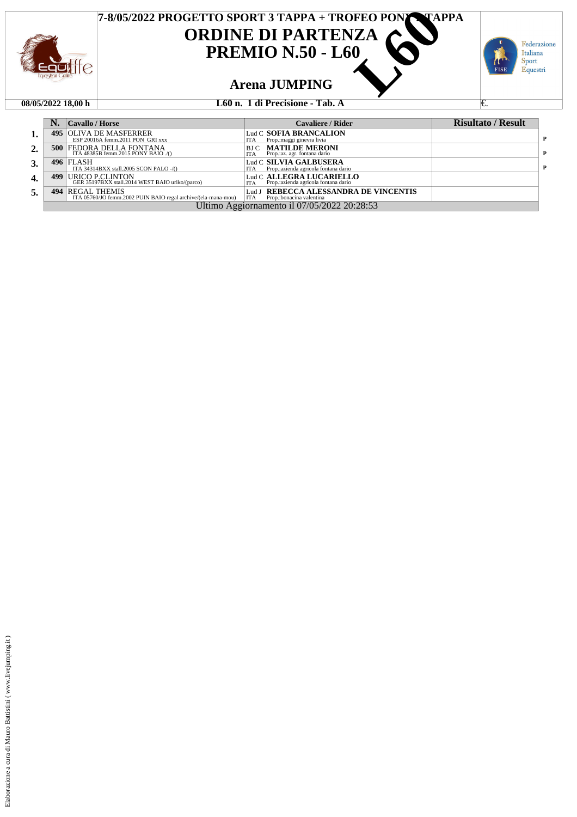

### **08/05/2022 18,00 h L60 n. 1 di Precisione - Tab. A** €.

|                  |                                             | Cavallo / Horse                                                                   | <b>Cavaliere / Rider</b>                                                        | <b>Risultato / Result</b> |   |  |  |
|------------------|---------------------------------------------|-----------------------------------------------------------------------------------|---------------------------------------------------------------------------------|---------------------------|---|--|--|
| 1.               | 495                                         | OLIVA DE MASFERRER<br>ESP 20016A femm.2011 PON GRI xxx                            | Lud C SOFIA BRANCALION<br>Prop.: maggi ginevra livia<br>ITA                     |                           | Þ |  |  |
| 2.               |                                             | <b>500 FEDORA DELLA FONTANA</b><br>ITA $48385B$ femm. 2015 PONY BAIO./()          | <b>MATILDE MERONI</b><br>BJ C<br>Prop.:az. agr. fontana dario<br><b>ITA</b>     |                           | P |  |  |
| 3.               |                                             | $496$ FLASH<br>ITA 34314BXX stall.2005 SCON PALO -/()                             | Lud C SILVIA GALBUSERA<br>Prop.: azienda agricola fontana dario<br><b>ITA</b>   |                           | P |  |  |
| $\overline{4}$ . | 499                                         | URICO P.CLINTON<br>GER 35197BXX stall.2014 WEST BAIO uriko/(parco)                | Lud C ALLEGRA LUCARIELLO<br>Prop.: azienda agricola fontana dario<br><b>ITA</b> |                           |   |  |  |
| 5.               |                                             | 494 REGAL THEMIS<br>ITA 05760/JO femm.2002 PUIN BAIO regal archive/(ela-mana-mou) | REBECCA ALESSANDRA DE VINCENTIS<br>Lud J<br>  ITA<br>Prop.:bonacina valentina   |                           |   |  |  |
|                  | Ultimo Aggiornamento il 07/05/2022 20:28:53 |                                                                                   |                                                                                 |                           |   |  |  |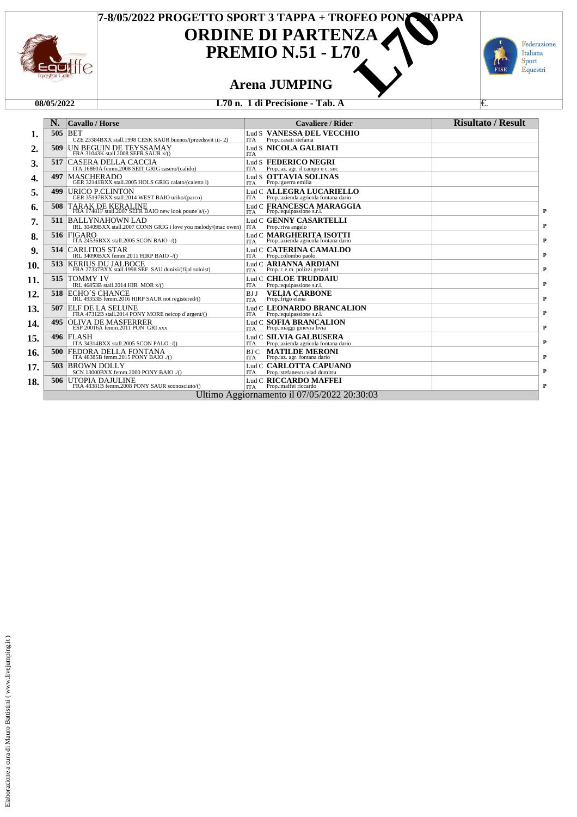



### **Arena JUMPING**

### **08/05/2022 L70 n. 1 di Precisione - Tab. A** €.

| <b>Cavallo / Horse</b>                                                                          | <b>Cavaliere / Rider</b>                                                                                                                                                                                | <b>Risultato / Result</b>                                          |
|-------------------------------------------------------------------------------------------------|---------------------------------------------------------------------------------------------------------------------------------------------------------------------------------------------------------|--------------------------------------------------------------------|
| 505<br><b>BET</b><br>CZE 23384BXX stall.1998 CESK SAUR buenos/(przedswit iii-2)                 | Lud S VANESSA DEL VECCHIO<br>Prop.: casati stefania<br>ITA                                                                                                                                              |                                                                    |
| 509<br>UN BEGUIN DE TEYSSAMAY<br>FRA 31043K stall.2008 SEFR SAUR x/()                           | Lud S NICOLA GALBIATI<br><b>ITA</b>                                                                                                                                                                     |                                                                    |
| CASERA DELLA CACCIA<br>517<br>ITA 16860A femm.2008 SEIT GRIG casero/(calido)                    | Lud S FEDERICO NEGRI<br>Prop.:az. agr. il campo e c. snc<br><b>ITA</b>                                                                                                                                  |                                                                    |
| <b>MASCHERADO</b><br>497<br>GER 32141BXX stall.2005 HOLS GRIG calato/(caletto i)                | Lud S OTTAVIA SOLINAS<br>Prop.: guerra emilia<br>ITA                                                                                                                                                    |                                                                    |
| URICO P.CLINTON<br>499<br>GER 35197BXX stall.2014 WEST BAIO uriko/(parco)                       | Lud C ALLEGRA LUCARIELLO<br>Prop.: azienda agricola fontana dario<br>ITA                                                                                                                                |                                                                    |
| TARAK DE KERALINE<br>508<br>FRA 17481F stall.2007 SEFR BAIO new look poune's/(-)                | Lud C FRANCESCA MARAGGIA<br>Prop.:equipassione s.r.l.<br><b>ITA</b>                                                                                                                                     |                                                                    |
| 511<br><b>BALLYNAHOWN LAD</b><br>IRL 30409BXX stall.2007 CONN GRIG i love you melody/(mac owen) | Lud C GENNY CASARTELLI<br>Prop.: riva angelo<br><b>ITA</b>                                                                                                                                              |                                                                    |
| 516<br><b>FIGARO</b><br>ITA 24536BXX stall.2005 SCON BAIO -/()                                  | Lud C <b>MARGHERITA ISOTTI</b><br>ITA Prop.:azienda agricola fontana dario                                                                                                                              |                                                                    |
| <b>CARLITOS STAR</b><br>514<br>IRL 34090BXX femm.2011 HIRP BAIO -/()                            | Lud C. CATERINA CAMALDO<br>Prop.:colombo paolo<br>ITA                                                                                                                                                   |                                                                    |
| <b>KERIUS DU JALBOCE</b><br>513<br>FRA 27337BXX stall.1998 SEF SAU dunixi/(fijal soloist)       | Lud C ARIANNA ARDIANI<br>Prop.:c.e.m. polizzi gerard<br><b>ITA</b>                                                                                                                                      |                                                                    |
| 515<br><b>TOMMY 1V</b>                                                                          | Lud C <b>CHLOE TRUDDAIU</b><br><b>ITA</b>                                                                                                                                                               |                                                                    |
| 518                                                                                             | <b>VELIA CARBONE</b><br>BJ J<br>Prop.:frigo elena<br><b>ITA</b>                                                                                                                                         |                                                                    |
| 507<br>ELF DE LA SELUNE                                                                         | Lud C. LEONARDO BRANCALION<br>Prop.:equipassione s.r.l.<br>ITA                                                                                                                                          |                                                                    |
| 495<br>OLIVA DE MASFERRER<br>ESP 20016A femm.2011 PON GRI xxx                                   | Lud C SOFIA BRANCALION<br>Prop.:maggi ginevra livia<br><b>ITA</b>                                                                                                                                       |                                                                    |
| <b>496 FLASH</b>                                                                                | Lud C SILVIA GALBUSERA<br>ITA                                                                                                                                                                           |                                                                    |
| 500<br>FEDORA DELLA FONTANA<br>ITA 48385B femm.2015 PONY BAIO ./()                              | <b>MATILDE MERONI</b><br>BJ C<br>Prop.:az. agr. fontana dario<br><b>ITA</b>                                                                                                                             |                                                                    |
| 503<br><b>BROWN DOLLY</b><br>SCN 13000BXX femm.2000 PONY BAIO ./()                              | Lud C CARLOTTA CAPUANO<br>Prop.:stefanescu vlad dumitru<br>ITA                                                                                                                                          |                                                                    |
| 506<br>UTOPIA DAJULINE<br>FRA 48381B femm.2008 PONY SAUR sconosciuto/()                         | Lud C RICCARDO MAFFEI<br>ITA Prop.:maffei riccardo                                                                                                                                                      |                                                                    |
|                                                                                                 | IRL 46853B stall.2014 HIR MOR x/()<br>ECHO'S CHANCE<br>IRL 49353B femm.2016 HIRP SAUR not registered/()<br>FRA 47312B stall.2014 PONY MORE neicop d'argent/()<br>ITA 34314BXX stall.2005 SCON PALO -/() | Prop.:equipassione s.r.l.<br>Prop.: azienda agricola fontana dario |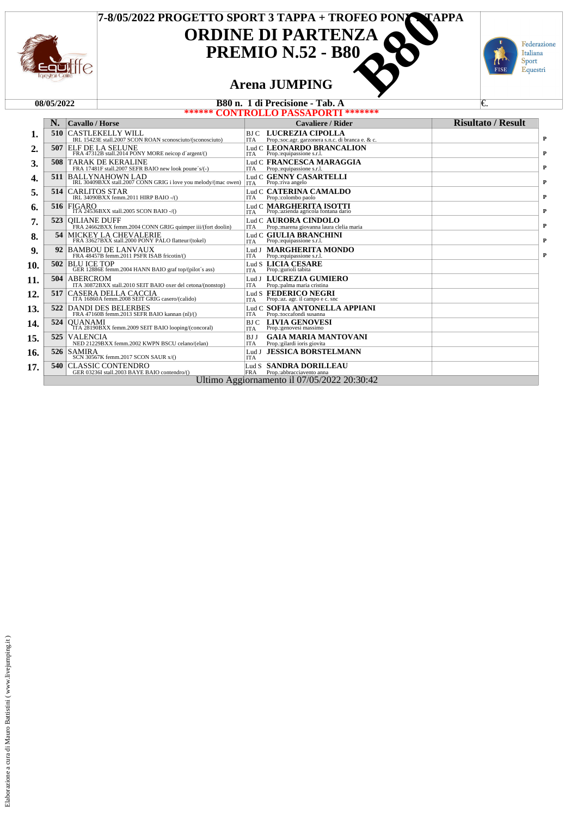



## **Arena JUMPING**

| B80 n. 1 di Precisione - Tab. A<br>08/05/2022 |  |  | €.                                                                                                                                                                                                                                                                                                                                                                                                                                                                                                                                                                                                                                                                                                                                                                                                                                                                                                                                                                                                                                                                                                                                                                                                                                                                                                                                                                                     |                                                            |                                                                                                                                                                                                                                                                                                                                                                                                                                                                                                                                                                                                                                                                                                                            |  |  |
|-----------------------------------------------|--|--|----------------------------------------------------------------------------------------------------------------------------------------------------------------------------------------------------------------------------------------------------------------------------------------------------------------------------------------------------------------------------------------------------------------------------------------------------------------------------------------------------------------------------------------------------------------------------------------------------------------------------------------------------------------------------------------------------------------------------------------------------------------------------------------------------------------------------------------------------------------------------------------------------------------------------------------------------------------------------------------------------------------------------------------------------------------------------------------------------------------------------------------------------------------------------------------------------------------------------------------------------------------------------------------------------------------------------------------------------------------------------------------|------------------------------------------------------------|----------------------------------------------------------------------------------------------------------------------------------------------------------------------------------------------------------------------------------------------------------------------------------------------------------------------------------------------------------------------------------------------------------------------------------------------------------------------------------------------------------------------------------------------------------------------------------------------------------------------------------------------------------------------------------------------------------------------------|--|--|
|                                               |  |  |                                                                                                                                                                                                                                                                                                                                                                                                                                                                                                                                                                                                                                                                                                                                                                                                                                                                                                                                                                                                                                                                                                                                                                                                                                                                                                                                                                                        |                                                            |                                                                                                                                                                                                                                                                                                                                                                                                                                                                                                                                                                                                                                                                                                                            |  |  |
| N.                                            |  |  |                                                                                                                                                                                                                                                                                                                                                                                                                                                                                                                                                                                                                                                                                                                                                                                                                                                                                                                                                                                                                                                                                                                                                                                                                                                                                                                                                                                        | Cavaliere / Rider                                          | <b>Risultato</b> / <b>Result</b>                                                                                                                                                                                                                                                                                                                                                                                                                                                                                                                                                                                                                                                                                           |  |  |
| 510                                           |  |  | <b>ITA</b>                                                                                                                                                                                                                                                                                                                                                                                                                                                                                                                                                                                                                                                                                                                                                                                                                                                                                                                                                                                                                                                                                                                                                                                                                                                                                                                                                                             | Prop.:soc.agr. garzonera s.n.c. di branca e. & c.          |                                                                                                                                                                                                                                                                                                                                                                                                                                                                                                                                                                                                                                                                                                                            |  |  |
| 507                                           |  |  | <b>ITA</b>                                                                                                                                                                                                                                                                                                                                                                                                                                                                                                                                                                                                                                                                                                                                                                                                                                                                                                                                                                                                                                                                                                                                                                                                                                                                                                                                                                             | Prop.:equipassione s.r.l.                                  |                                                                                                                                                                                                                                                                                                                                                                                                                                                                                                                                                                                                                                                                                                                            |  |  |
| 508                                           |  |  | ITA                                                                                                                                                                                                                                                                                                                                                                                                                                                                                                                                                                                                                                                                                                                                                                                                                                                                                                                                                                                                                                                                                                                                                                                                                                                                                                                                                                                    | Prop.:equipassione s.r.l.                                  |                                                                                                                                                                                                                                                                                                                                                                                                                                                                                                                                                                                                                                                                                                                            |  |  |
| 511                                           |  |  | <b>ITA</b>                                                                                                                                                                                                                                                                                                                                                                                                                                                                                                                                                                                                                                                                                                                                                                                                                                                                                                                                                                                                                                                                                                                                                                                                                                                                                                                                                                             | Prop.:riva angelo                                          |                                                                                                                                                                                                                                                                                                                                                                                                                                                                                                                                                                                                                                                                                                                            |  |  |
| 514                                           |  |  | <b>ITA</b>                                                                                                                                                                                                                                                                                                                                                                                                                                                                                                                                                                                                                                                                                                                                                                                                                                                                                                                                                                                                                                                                                                                                                                                                                                                                                                                                                                             | Prop.:colombo paolo                                        |                                                                                                                                                                                                                                                                                                                                                                                                                                                                                                                                                                                                                                                                                                                            |  |  |
| 516                                           |  |  |                                                                                                                                                                                                                                                                                                                                                                                                                                                                                                                                                                                                                                                                                                                                                                                                                                                                                                                                                                                                                                                                                                                                                                                                                                                                                                                                                                                        |                                                            |                                                                                                                                                                                                                                                                                                                                                                                                                                                                                                                                                                                                                                                                                                                            |  |  |
| 523                                           |  |  | <b>ITA</b>                                                                                                                                                                                                                                                                                                                                                                                                                                                                                                                                                                                                                                                                                                                                                                                                                                                                                                                                                                                                                                                                                                                                                                                                                                                                                                                                                                             | Prop.: marena giovanna laura clelia maria                  |                                                                                                                                                                                                                                                                                                                                                                                                                                                                                                                                                                                                                                                                                                                            |  |  |
| 54                                            |  |  | <b>ITA</b>                                                                                                                                                                                                                                                                                                                                                                                                                                                                                                                                                                                                                                                                                                                                                                                                                                                                                                                                                                                                                                                                                                                                                                                                                                                                                                                                                                             | Prop.:equipassione s.r.l.                                  |                                                                                                                                                                                                                                                                                                                                                                                                                                                                                                                                                                                                                                                                                                                            |  |  |
| 92                                            |  |  | <b>ITA</b>                                                                                                                                                                                                                                                                                                                                                                                                                                                                                                                                                                                                                                                                                                                                                                                                                                                                                                                                                                                                                                                                                                                                                                                                                                                                                                                                                                             | Prop.:equipassione s.r.l.                                  |                                                                                                                                                                                                                                                                                                                                                                                                                                                                                                                                                                                                                                                                                                                            |  |  |
| 502                                           |  |  |                                                                                                                                                                                                                                                                                                                                                                                                                                                                                                                                                                                                                                                                                                                                                                                                                                                                                                                                                                                                                                                                                                                                                                                                                                                                                                                                                                                        |                                                            |                                                                                                                                                                                                                                                                                                                                                                                                                                                                                                                                                                                                                                                                                                                            |  |  |
| 504                                           |  |  | <b>ITA</b>                                                                                                                                                                                                                                                                                                                                                                                                                                                                                                                                                                                                                                                                                                                                                                                                                                                                                                                                                                                                                                                                                                                                                                                                                                                                                                                                                                             |                                                            |                                                                                                                                                                                                                                                                                                                                                                                                                                                                                                                                                                                                                                                                                                                            |  |  |
| 517                                           |  |  |                                                                                                                                                                                                                                                                                                                                                                                                                                                                                                                                                                                                                                                                                                                                                                                                                                                                                                                                                                                                                                                                                                                                                                                                                                                                                                                                                                                        |                                                            |                                                                                                                                                                                                                                                                                                                                                                                                                                                                                                                                                                                                                                                                                                                            |  |  |
| 522                                           |  |  | ITA                                                                                                                                                                                                                                                                                                                                                                                                                                                                                                                                                                                                                                                                                                                                                                                                                                                                                                                                                                                                                                                                                                                                                                                                                                                                                                                                                                                    | Prop.:toccafondi susanna                                   |                                                                                                                                                                                                                                                                                                                                                                                                                                                                                                                                                                                                                                                                                                                            |  |  |
| 524                                           |  |  | <b>ITA</b>                                                                                                                                                                                                                                                                                                                                                                                                                                                                                                                                                                                                                                                                                                                                                                                                                                                                                                                                                                                                                                                                                                                                                                                                                                                                                                                                                                             | Prop.:genovesi massimo                                     |                                                                                                                                                                                                                                                                                                                                                                                                                                                                                                                                                                                                                                                                                                                            |  |  |
| 525                                           |  |  | <b>BJJ</b><br><b>ITA</b>                                                                                                                                                                                                                                                                                                                                                                                                                                                                                                                                                                                                                                                                                                                                                                                                                                                                                                                                                                                                                                                                                                                                                                                                                                                                                                                                                               | <b>GAIA MARIA MANTOVANI</b><br>Prop.:gilardi ioris giovita |                                                                                                                                                                                                                                                                                                                                                                                                                                                                                                                                                                                                                                                                                                                            |  |  |
| 526                                           |  |  | <b>ITA</b>                                                                                                                                                                                                                                                                                                                                                                                                                                                                                                                                                                                                                                                                                                                                                                                                                                                                                                                                                                                                                                                                                                                                                                                                                                                                                                                                                                             |                                                            |                                                                                                                                                                                                                                                                                                                                                                                                                                                                                                                                                                                                                                                                                                                            |  |  |
| 540                                           |  |  | <b>FRA</b>                                                                                                                                                                                                                                                                                                                                                                                                                                                                                                                                                                                                                                                                                                                                                                                                                                                                                                                                                                                                                                                                                                                                                                                                                                                                                                                                                                             | Prop.:abbracciavento anna                                  |                                                                                                                                                                                                                                                                                                                                                                                                                                                                                                                                                                                                                                                                                                                            |  |  |
|                                               |  |  |                                                                                                                                                                                                                                                                                                                                                                                                                                                                                                                                                                                                                                                                                                                                                                                                                                                                                                                                                                                                                                                                                                                                                                                                                                                                                                                                                                                        |                                                            |                                                                                                                                                                                                                                                                                                                                                                                                                                                                                                                                                                                                                                                                                                                            |  |  |
|                                               |  |  | <b>Cavallo / Horse</b><br><b>CASTLEKELLY WILL</b><br>IRL 15423E stall.2007 SCON ROAN sconosciuto/(sconosciuto)<br><b>ELF DE LA SELUNE</b><br>FRA 47312B stall.2014 PONY MORE neicop d'argent/()<br><b>TARAK DE KERALINE</b><br>FRA 17481F stall.2007 SEFR BAIO new look poune's/(-)<br><b>BALLYNAHOWN LAD</b><br>IRL 30409BXX stall.2007 CONN GRIG i love you melody/(mac owen)<br><b>CARLITOS STAR</b><br>IRL 34090BXX femm.2011 HIRP BAIO -/()<br><b>FIGARO</b><br>ITA 24536BXX stall.2005 SCON BAIO -/()<br><b>OILIANE DUFF</b><br>FRA 24662BXX femm.2004 CONN GRIG quimper iii/(fort doolin)<br>MICKEY LA CHEVALERIE<br>FRA 33627BXX stall.2000 PONY PALO flatteur/(tokel)<br><b>BAMBOU DE LANVAUX</b><br>FRA 48457B femm.2011 PSFR ISAB fricotin/()<br>$\begin{array}{ l } \hline \text{BLU~ICE~TOP} \\ \hline \text{GER~12886E~femm.} \\ \hline \end{array}$<br>ABERCROM<br>ITA 30872BXX stall.2010 SEIT BAIO oxer del cetona/(nonstop)<br>CASERA DELLA CACCIA<br>ITA 16860A femm.2008 SEIT GRIG casero/(calido)<br><b>DANDI DES BELERBES</b><br>FRA 47160B femm.2013 SEFR BAIO kannan (nl)/()<br><b>OUANAMI</b><br>ITA 28190BXX femm.2009 SEIT BAIO looping/(concoral)<br><b>VALENCIA</b><br>NED 21229BXX femm.2002 KWPN BSCU celano/(elan)<br><b>SAMIRA</b><br>SCN 30567K femm.2017 SCON SAUR x/()<br><b>CLASSIC CONTENDRO</b><br>GER 03236I stall.2003 BAYE BAIO contendro/() | BJ C                                                       | ****** CONTROLLO PASSAPORTI *******<br>BJC LUCREZIA CIPOLLA<br>Lud C LEONARDO BRANCALION<br>Lud C FRANCESCA MARAGGIA<br>Lud C GENNY CASARTELLI<br>Lud C CATERINA CAMALDO<br>Lud C <b>MARGHERITA ISOTTI</b><br>ITA Prop.:azienda agricola fontana dario<br>Lud C AURORA CINDOLO<br>Lud C GIULIA BRANCHINI<br>Lud J MARGHERITA MONDO<br>$\begin{tabular}{ll} Lud\ S & LICIA \ CESARE \\ ITA & Prop. : 24711 \\ \end{tabular}$<br>Lud J LUCREZIA GUMIERO<br>Prop.:palma maria cristina<br>Lud S <b>FEDERICO NEGRI</b><br>ITA Prop.:az. agr. il campo e c. snc<br>Lud C SOFIA ANTONELLA APPIANI<br><b>LIVIA GENOVESI</b><br>Lud J JESSICA BORSTELMANN<br>Lud S SANDRA DORILLEAU<br>Ultimo Aggiornamento il 07/05/2022 20:30:42 |  |  |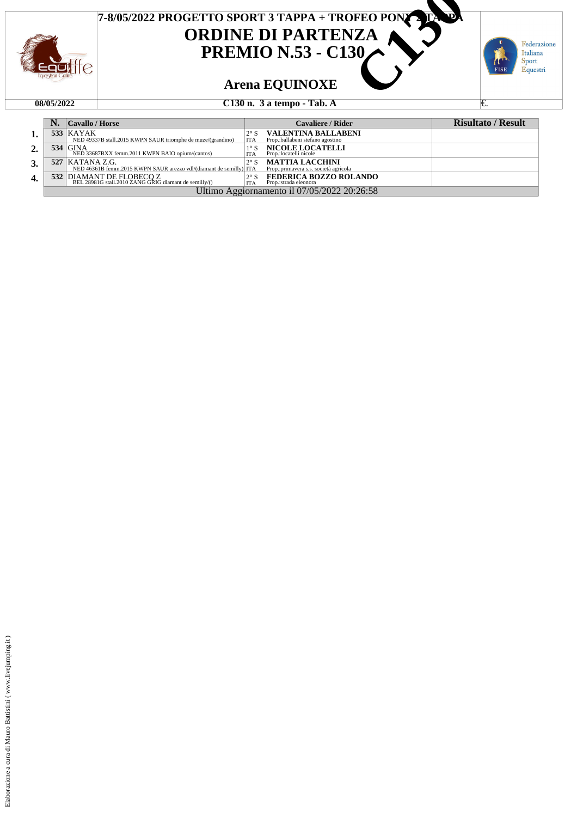

|    |                                             | $ $ Cavallo / Horse                                                                            |                             | Cavaliere / Rider                                                | <b>Risultato / Result</b> |  |  |
|----|---------------------------------------------|------------------------------------------------------------------------------------------------|-----------------------------|------------------------------------------------------------------|---------------------------|--|--|
| 1. |                                             | <b>533   KAYAK</b><br>NED 49337B stall.2015 KWPN SAUR triomphe de muze/(grandino)              | $2^{\circ}$ S<br><b>ITA</b> | <b>VALENTINA BALLABENI</b><br>Prop.:ballabeni stefano agostino   |                           |  |  |
| 2. |                                             | $534$ GINA<br>NED 33687BXX femm.2011 KWPN BAIO opium/(cantos)                                  | $1^{\circ}$ S<br><b>ITA</b> | <b>NICOLE LOCATELLI</b><br>Prop.:locatelli nicole                |                           |  |  |
| 3. |                                             | <b>527   KATANA Z.G.</b><br>NED 46361B femm.2015 KWPN SAUR arezzo vdl/(diamant de semilly) ITA | $2^{\circ}$ S               | <b>MATTIA LACCHINI</b><br>Prop.: primavera s.s. società agricola |                           |  |  |
| 4. |                                             | 532 DIAMANT DE FLOBECO Z<br>BEL 28981G stall.2010 ZANG GRIG diamant de semilly/()              | <b>ITA</b>                  | <b>FEDERICA BOZZO ROLANDO</b><br>Prop.:strada eleonora           |                           |  |  |
|    | Ultimo Aggiornamento il 07/05/2022 20:26:58 |                                                                                                |                             |                                                                  |                           |  |  |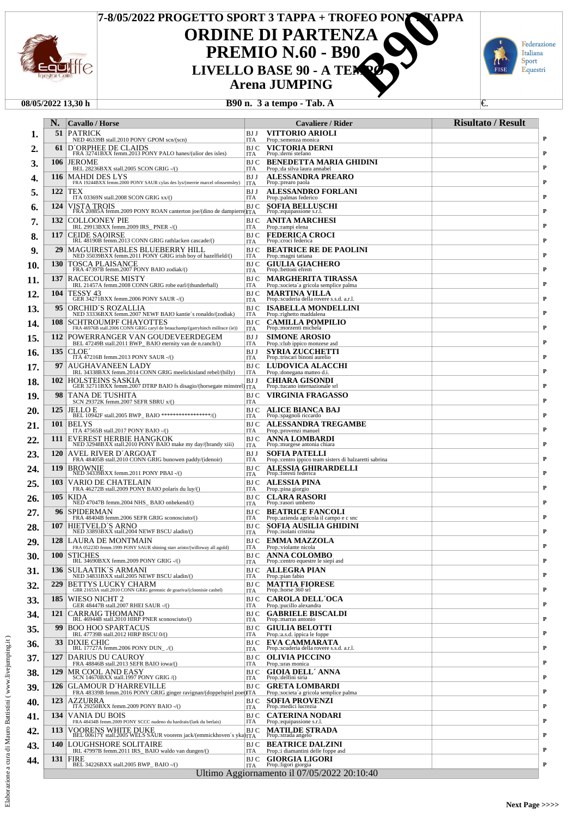

# **ORDINE DI PARTENZA PREMIO N.60 - B90<br>LIVELLO BASE 90 - A TEM Arena JUMPING 7-8/05/2022 PROGETTO SPORT 3 TAPPA + TROFEO PONY VAPPA<br>
<b>CORDINE DI PARTENZA<br>
PREMIO N.60 - B90**<br>
LIVELLO BASE 90 - A TEMPOPA<br>
Arena JUMPING<br>
B90 n. 3 a tempo - Tab. A



### **08/05/2022 13,30 h B90 n. 3 a tempo - Tab. A** €.

| N.         | <b>Cavallo</b> / Horse                                                                                          |                          | Cavaliere / Rider                                                              | <b>Risultato / Result</b> |
|------------|-----------------------------------------------------------------------------------------------------------------|--------------------------|--------------------------------------------------------------------------------|---------------------------|
| 51         | PATRICK<br>NED 46339B stall.2010 PONY GPOM scn/(scn)                                                            | BJ J<br>ITA              | <b>VITTORIO ARIOLI</b><br>Prop.:semenza monica                                 |                           |
| 61         | D'ORPHEE DE CLAIDS<br>FRA 32741BXX femm.2013 PONY PALO hanes/(ulior des isles)                                  | BJ C<br>ITA              | VICTORIA DERNI<br>Prop.: derni stefano                                         |                           |
| 106        | <b>JEROME</b><br>BEL 28236BXX stall.2005 SCON GRIG -/()                                                         | BJ C<br><b>ITA</b>       | <b>BENEDETTA MARIA GHIDINI</b><br>Prop.: da silva laura annabel                |                           |
| 116        | <b>MAHDI DES LYS</b><br>FRA 19244BXX femm.2000 PONY SAUR cylas des lys/(merrie marcel ofossemsley)              | BJ J                     | ALESSANDRA PREARO                                                              |                           |
| 122        | TEX                                                                                                             | <b>ITA</b><br>BJ J       | Prop.:prearo paola<br>ALESSANDRO FORLANI                                       |                           |
| 124        | ITA 03369N stall.2008 SCON GRIG xx/()<br>VISTA TROIS                                                            | <b>ITA</b><br>BJ C       | Prop.:palmas federico<br><b>SOFIA BELLUSCHI</b>                                |                           |
| 132        | FRA 20885A femm.2009 PONY ROAN canterton joe/(dino de dampierre) TA<br><b>COLLOONEY PIE</b>                     | BJ C                     | Prop.:equipassione s.r.l.<br><b>ANITA MARCHESI</b>                             |                           |
| 117        | IRL 29913BXX femm.2009 IRS_PNER -/()<br><b>CEIDE SAOIRSE</b>                                                    | <b>ITA</b><br>BJ C       | Prop.:rampi elena<br><b>FEDERICA CROCI</b>                                     |                           |
|            | IRL 48190B femm.2013 CONN GRIG rathlacken cascade/()                                                            | <b>ITA</b>               | Prop.: croci federica                                                          |                           |
| 29         | MAGUIRESTABLES BLUEBERRY HILL<br>NED 35039BXX femm.2011 PONY GRIG irish boy of hazelfield/()                    | BJ C<br><b>ITA</b>       | <b>BEATRICE RE DE PAOLINI</b><br>Prop.: magni tatiana                          |                           |
| <b>130</b> | TOSCA PLAISANCE<br>FRA 47397B femm.2007 PONY BAIO zodiak/()                                                     | BJ C<br><b>ITA</b>       | <b>GIULIA GIACHERO</b><br>Prop.:bettoni efrem                                  |                           |
| 137        | RACECOURSE MISTY<br>IRL 21457A femm.2008 CONN GRIG robe earl/(thunderball)                                      | BJ C<br><b>ITA</b>       | <b>MARGHERITA TIRASSA</b><br>Prop.:societa'a gricola semplice palma            |                           |
| 104        | TESSY 43<br>GER 34271BXX femm.2006 PONY SAUR -/()                                                               | BJ C<br><b>ITA</b>       | <b>MARTINA VILLA</b><br>Prop.:scuderia della rovere s.s.d. a.r.l.              |                           |
| 95         | ORCHID´S ROZALLIA<br>NED 33336BXX femm.2007 NEWF BAIO kantie's ronaldo/(zodiak)                                 | BJ C<br><b>ITA</b>       | <b>ISABELLA MONDELLINI</b><br>Prop.:righetto maddalena                         |                           |
| <b>108</b> | SCHTROUMPF CHAYOTTES<br>FRA 46976B stall.2006 CONN GRIG caryl de beauchamp/(garryhinch millrace (ie))           | BJ C<br><b>ITA</b>       | <b>CAMILLA POMPILIO</b><br>Prop.: morzenti michela                             |                           |
| 112        | POWERRANGER VAN GOUDEVEERDEGEM<br>BEL 47249B stall.2011 BWP_BAIO eternity van de n.ranch/()                     | BJ J                     | <b>SIMONE AROSIO</b>                                                           |                           |
| 135        | CLOE <sup>2</sup>                                                                                               | <b>ITA</b><br>BJ J       | Prop.: club ippico monzese asd<br>SYRIA ZUCCHETTI                              |                           |
| 97         | ITA 47216B femm.2013 PONY SAUR -/()<br><b>AUGHAVANEEN LADY</b>                                                  | <b>ITA</b><br>BJ C       | Prop.:triscari binoni aurelio<br>LUDOVICA ALACCHI                              |                           |
| 102        | IRL 34338BXX femm.2014 CONN GRIG meelickisland rebel/(billy)<br><b>HOLSTEINS SASKIA</b>                         | <b>ITA</b><br>BJ J       | Prop.: donegana matteo d.i.<br><b>CHIARA GISONDI</b>                           |                           |
| 98         | GER 32711BXX femm.2007 DTRP BAIO fs disagio/(horsegate minstrel) ITA<br>TANA DE TUSHITA                         | BJ C                     | Prop.:tucano internazionale srl<br>VIRGINIA FRAGASSO                           |                           |
| 125        | SCN 29372K femm.2007 SEFR SBRU x/()<br>JELLO E                                                                  | <b>ITA</b><br>BJ C       |                                                                                |                           |
|            | BEL 10942F stall.2005 BWP_BAIO ******************/()                                                            | <b>ITA</b>               | ALICE BIANCA BAJ<br>Prop.:spagnoli riccardo                                    |                           |
| 101        | <b>BELYS</b><br>ITA 47565B stall.2017 PONY BAIO -/()                                                            | BJ C<br><b>ITA</b>       | <b>ALESSANDRA TREGAMBE</b><br>Prop.:provenzi manuel                            |                           |
| 111        | EVEREST HERBIE HANGKOK<br>NED 32948BXX stall.2010 PONY BAIO make my day/(brandy xiii)                           | BJ C<br><b>ITA</b>       | ANNA LOMBARDI<br>Prop.: murgese antonia chiara                                 |                           |
| <b>120</b> | AVEL RIVER D´ARGOAT<br>FRA 48405B stall.2010 CONN GRIG bunowen paddy/(idenoir)                                  | BJ J<br><b>ITA</b>       | <b>SOFIA PATELLI</b><br>Prop.:centro ippico team sisters di balzaretti sabrina |                           |
| 119        | <b>BROWNIE</b><br>NED 34339BXX femm.2011 PONY PBAI -/()                                                         | BJ C<br><b>ITA</b>       | ALESSIA GHIRARDELLI<br>Prop.:foresti federica                                  |                           |
| 103        | VARIO DE CHATELAIN<br>FRA 46272B stall.2009 PONY BAIO polaris du luy/()                                         | BJ C<br><b>ITA</b>       | ALESSIA PINA<br>Prop.:pina giorgio                                             |                           |
| 105        | KIDA<br>NED 47047B femm.2004 NHS_BAIO onbekend/()                                                               | BJ C<br><b>ITA</b>       | <b>CLARA RASORI</b><br>Prop.: rasori umberto                                   |                           |
| 96         | <b>SPIDERMAN</b>                                                                                                | BJ C                     | <b>BEATRICE FANCOLI</b>                                                        |                           |
| 107        | FRA 48404B femm.2006 SEFR GRIG sconosciuto/()<br>HIETVELD'S ARNO<br>NED 33893BXX stall.2004 NEWF BSCU aladin/() | <b>ITA</b><br>BJ C       | Prop.: azienda agricola il campo e c sno<br>SOFIA AUSILIA GHIDINI              |                           |
| 128        | LAURA DE MONTMAIN                                                                                               | <b>ITA</b>               | Prop.:isolani cristina<br>BJ C EMMA MAZZOLA                                    |                           |
| <b>100</b> | g starr aristo/(willoway all agold)<br>FRA 05223D femm.1999 PONY SAUR shining<br><b>STICHES</b>                 | BJ C                     | Prop.:violante nicola<br><b>ANNA COLOMBO</b>                                   |                           |
| 136        | IRL 34690BXX femm.2009 PONY GRIG -/()<br>SULAATIK'S ARMANI                                                      | <b>ITA</b><br>BJ C       | Prop.:centro equestre le siepi asd<br><b>ALLEGRA PIAN</b>                      |                           |
|            | NED 34831BXX stall.2005 NEWF BSCU aladin/()                                                                     | <b>ITA</b>               | Prop.:pian fabio                                                               |                           |
| 229        | BETTYS LUCKY CHARM<br>GBR 21653A stall.2010 CONN GRIG gerennic de goariva/(cloonisie cashel)                    | BJ C<br><b>ITA</b>       | <b>MATTIA FIORESE</b><br>Prop.: horse 360 srl                                  |                           |
| 185        | WIESO NICHT 2<br>GER 48447B stall.2007 RHEI SAUR -/()                                                           | BJ C<br><b>ITA</b>       | <b>CAROLA DELL'OCA</b><br>Prop.:pucillo alexandra                              |                           |
| 121        | CARRAIG THOMAND<br>IRL 46944B stall.2010 HIRP PNER sconosciuto/()                                               | BJ C<br><b>ITA</b>       | <b>GABRIELE BISCALDI</b><br>Prop.: marras antonio                              |                           |
| 99         | <b>BOO HOO SPARTACUS</b><br>IRL 47739B stall.2012 HIRP BSCU 0/()                                                | BJ C<br><b>ITA</b>       | <b>GIULIA BELOTTI</b><br>Prop.:a.s.d. ippica le foppe                          |                           |
| 33         | DIXIE CHIC<br>IRL 17727A femm.2006 PONY DUN ./()                                                                | <b>BJC</b><br><b>ITA</b> | EVA CAMMARATA<br>Prop.:scuderia della rovere s.s.d. a.r.l.                     |                           |
| 127        | DARIUS DU CAUROY<br>FRA 48846B stall.2013 SEFR BAIO iowa/()                                                     | BJ C<br><b>ITA</b>       | <b>OLIVIA PICCINO</b><br>Prop.: uras monica                                    |                           |
| 129        | MR COOL AND EASY<br>SCN 14670BXX stall.1997 PONY GRIG /()                                                       | BJ C                     | <b>GIOIA DELL'ANNA</b>                                                         |                           |
| 126        | <b>GLAMOUR D'HARREVILLE</b>                                                                                     | <b>ITA</b><br>BJ C       | Prop.: delfini siria<br><b>GRETA LOMBARDI</b>                                  |                           |
| 123        | FRA 48339B femm.2016 PONY GRIG ginger ravignan/(doppelspiel poet)ITA<br>AZZURRA                                 | BJ C                     | Prop.:societa'a gricola semplice palma<br><b>SOFIA PROVENZI</b>                |                           |
| 134        | ITA 29250BXX femm.2009 PONY BAIO -/()<br>VANIA DU BOIS                                                          | <b>ITA</b><br>BJ C       | Prop.:medici lucrezia<br><b>CATERINA NODARI</b>                                |                           |
| 113        | FRA 48434B femm.2009 PONY SCCC nudeno du hardrais/(lark du berlais)<br>VOORENS WHITE DUKE                       | <b>ITA</b><br><b>BJC</b> | Prop.:equipassione s.r.l.<br><b>MATILDE STRADA</b>                             |                           |
|            | BEL 00617Y stall.2005 WELS SAUR voorens jack/(emmickhoven's yka)ITA                                             |                          | Prop.:strada angelo                                                            |                           |
| 140        | LOUGHSHORE SOLITAIRE<br>IRL 47997B femm.2011 IRS_BAIO waldo van dungen/()                                       | BJ C<br><b>ITA</b>       | <b>BEATRICE DALZINI</b><br>Prop.: i diamantini delle foppe asd                 |                           |
| 131        | <b>FIRE</b><br>BEL 34226BXX stall.2005 BWP_BAIO -/()                                                            | BJ C<br><b>ITA</b>       | <b>GIORGIA LIGORI</b><br>Prop.:ligori giorgia                                  |                           |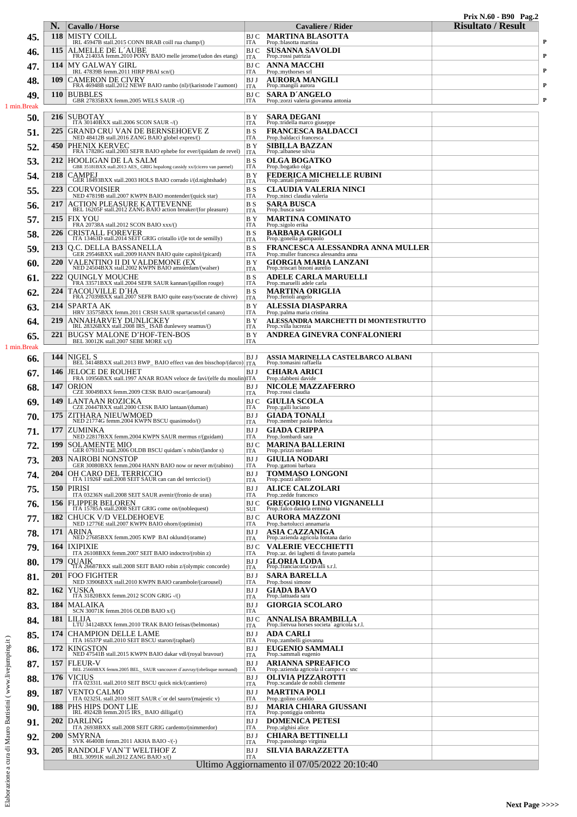|                                                      |            |                                                                                             |                              |                                                                             | Prix N.60 - B90 Pag.2     |   |
|------------------------------------------------------|------------|---------------------------------------------------------------------------------------------|------------------------------|-----------------------------------------------------------------------------|---------------------------|---|
|                                                      | N.         | <b>Cavallo</b> / Horse<br><b>MISTY COILL</b>                                                |                              | Cavaliere / Rider                                                           | <b>Risultato / Result</b> |   |
| 45.                                                  | 118        | IRL 45947B stall.2015 CONN BRAB coill rua champ/()                                          | BJ C<br>ITA                  | MARTINA BLASOTTA<br>Prop.:blasotta martina                                  |                           | P |
| 46.                                                  | 115        | ALMELLE DE L'AUBE<br>FRA 21403A femm.2010 PONY BAIO melle jerome/(udon des etang)           | <b>BJC</b><br>ITA            | <b>SUSANNA SAVOLDI</b><br>Prop.:rossi patrizia                              |                           | P |
| 47.                                                  | 114        | <b>MY GALWAY GIRL</b><br>IRL 47839B femm.2011 HIRP PBAI scn/()                              | BJ C<br>ITA                  | <b>ANNA MACCHI</b><br>Prop.: mythorses srl                                  |                           | P |
| 48.                                                  | 109        | <b>CAMERON DE CIVRY</b><br>FRA 46948B stall.2012 NEWF BAIO rambo (nl)/(karistode l'aumont)  | BJ J<br>ITA                  | <b>AURORA MANGILI</b><br>Prop.:mangili aurora                               |                           | P |
| 49                                                   | <b>110</b> | <b>BUBBLES</b>                                                                              | <b>BJ</b> C                  | <b>SARA D'ANGELO</b>                                                        |                           | P |
| 1 min.Break                                          |            | GBR 27835BXX femm.2005 WELS SAUR -/()                                                       | <b>ITA</b>                   | Prop.: zorzi valeria giovanna antonia                                       |                           |   |
| 50.                                                  | 216        | <b>SUBOTAY</b><br>ITA $30140BXX$ stall.2006 SCON SAUR -/()                                  | B Y<br><b>ITA</b>            | <b>SARA DEGANI</b><br>Prop.:tridella marco giuseppe                         |                           |   |
| 51.                                                  | 225        | <b>GRAND CRU VAN DE BERNSEHOEVE Z</b><br>NED 48412B stall.2016 ZANG BAIO globel expres/()   | <b>BS</b><br><b>ITA</b>      | <b>FRANCESCA BALDACCI</b><br>Prop.:baldacci francesca                       |                           |   |
| 52.                                                  | 450        | PHENIX KERVEC<br>FRA 17828G stall.2003 SEFR BAIO ephebe for ever/(quidam de revel)          | B Y<br><b>ITA</b>            | <b>SIBILLA BAZZAN</b><br>Prop.:albanese silvia                              |                           |   |
| 53.                                                  | 212        | HOOLIGAN DE LA SALM                                                                         | B S                          | <b>OLGA BOGATKO</b>                                                         |                           |   |
| 54.                                                  | 218        | GBR 35181BXX stall.2013 AES_GRIG hopalong cassidy xx/(cicero van paemel)<br><b>CAMPEJ</b>   | <b>ITA</b><br>B Y            | Prop.:bogatko olga<br><b>FEDERICA MICHELLE RUBINI</b>                       |                           |   |
| 55.                                                  | 223        | GER 18493BXX stall.2003 HOLS BAIO corrado i/(d.nightshade)<br><b>COURVOISIER</b>            | <b>ITA</b><br><b>BS</b>      | Prop.:antali piermauro<br>CLAUDIA VALERIA NINCI                             |                           |   |
|                                                      | 217        | NED 47819B stall.2007 KWPN BAIO montender/(quick star)                                      | <b>ITA</b><br>B S            | Prop.:ninci claudia valeria<br><b>SARA BUSCA</b>                            |                           |   |
| 56.                                                  |            | ACTION PLEASURE KATTEVENNE<br>BEL 16205F stall.2012 ZANG BAIO action breaker/(for pleasure) | <b>ITA</b>                   | Prop.:busca sara                                                            |                           |   |
| 57.                                                  | 215        | <b>FIX YOU</b><br>FRA 20738A stall.2012 SCON BAIO xxx/()                                    | B Y<br><b>ITA</b>            | <b>MARTINA COMINATO</b><br>Prop.:sigolo erika                               |                           |   |
| 58.                                                  | 226        | <b>CRISTALL FOREVER</b><br>ITA 13463D stall.2014 SEIT GRIG cristallo i/(le tot de semilly)  | B S<br><b>ITA</b>            | <b>BARBARA GRIGOLI</b><br>Prop.:gonella giampaolo                           |                           |   |
| 59.                                                  | 213        | Q.C. DELLA BASSANELLA<br>GER 29546BXX stall.2009 HANN BAIO quite capitol/(picard)           | <b>BS</b><br><b>ITA</b>      | FRANCESCA ALESSANDRA ANNA MULLER<br>Prop.: muller francesca alessandra anna |                           |   |
| 60.                                                  | 220        | VALENTINO II DI VALDEMONE (EX<br>NED 24504BXX stall.2002 KWPN BAIO amsterdam/(walser)       | B Y<br><b>ITA</b>            | GIORGIA MARIA LANZANI<br>Prop.: triscari binoni aurelio                     |                           |   |
| 61,                                                  | 222        | <b>OUINGLY MOUCHE</b><br>FRA 33571BXX stall.2004 SEFR SAUR kannan/(apillon rouge)           | B S<br><b>ITA</b>            | <b>ADELE CARLA MARUELLI</b><br>Prop.: maruelli adele carla                  |                           |   |
| 62.                                                  | 224        | TACOUVILLE D´HA                                                                             | B S                          | <b>MARTINA ORIGLIA</b>                                                      |                           |   |
| 63.                                                  | 214        | FRA 27039BXX stall.2007 SEFR BAIO quite easy/(socrate de chivre)<br>SPARTA AK               | <b>ITA</b><br>BY <sub></sub> | Prop.:ferioli angelo<br>ALESSIA DIASPARRA                                   |                           |   |
| 64.                                                  | 219        | HRV 33575BXX femm.2011 CRSH SAUR spartacus/(el canaro)<br>ANNAHARVEY DUNLICKEY              | <b>ITA</b><br>B Y            | Prop.:palma maria cristina<br>ALESSANDRA MARCHETTI DI MONTESTRUTTO          |                           |   |
|                                                      |            | IRL 28326BXX stall.2008 IRS_ISAB dunlewey seamus/()                                         | <b>ITA</b><br>BY <sub></sub> | Prop.:villa lucrezia                                                        |                           |   |
| 65.<br>1 min.Break                                   | 221        | BUGSY MALONE D'HOF-TEN-BOS<br>BEL 30012K stall.2007 SEBE MORE x/()                          | <b>ITA</b>                   | ANDREA GINEVRA CONFALONIERI                                                 |                           |   |
| 66.                                                  | 144        | NIGEL <sub>S</sub>                                                                          | BJ J                         | <u>ASSIA MARINELLA CASTELBARCO ALBANI</u>                                   |                           |   |
| 67.                                                  | 146        | BEL 34148BXX stall.2013 BWP_BAIO effect van den bisschop/(darco)<br><b>JELOCE DE ROUHET</b> | <b>ITA</b><br>BJ J           | Prop.:tomasini raffaella<br><b>CHIARA ARICI</b>                             |                           |   |
|                                                      | 147        | FRA 10956BXX stall.1997 ANAR ROAN veloce de favi/(elfe du moulin) ITA<br><b>ORION</b>       | BJ J                         | Prop.:dabbeni davide<br><b>NICOLE MAZZAFERRO</b>                            |                           |   |
| 68.                                                  |            | CZE 30049BXX femm.2009 CESK BAIO oscar/(amoural)                                            | ITA                          | Prop.:rossi claudia                                                         |                           |   |
| 69.                                                  | 149        | LANTAAN ROZICKA<br>CZE 20447BXX stall.2000 CESK BAIO lantaan/(duman)                        | <b>BJC</b><br>ITA            | <b>GIULIA SCOLA</b><br>Prop.: galli luciano                                 |                           |   |
| 70.                                                  | 175        | ZITHARA NIEUWMOED<br>NED 21774G femm.2004 KWPN BSCU quasimodo/()                            | BJ J<br>ITA                  | <b>GIADA TONALI</b><br>Prop.:nember paola federica                          |                           |   |
| 71.                                                  | 177        | ZUMINKA<br>NED 22817BXX femm.2004 KWPN SAUR mermus r/(guidam)                               | BJ J<br>ITA                  | <b>GIADA CRIPPA</b><br>Prop.: lombardi sara                                 |                           |   |
| 72                                                   |            | 199   SOLAMENTE MIO<br>GER 07931D stall.2006 OLDB BSCU quidam's rubin/(landor s)            | <b>ITA</b>                   | <b>BJ C MARINA BALLERINI</b><br>Prop.:prizzi stefano                        |                           |   |
| 73.                                                  | <b>203</b> | <b>NAIROBI NONSTOP</b><br>GER 30080BXX femm.2004 HANN BAIO now or never m/(rabino)          | BJ J<br>ITA                  | <b>GIULIA NODARI</b><br>Prop.: gattoni barbara                              |                           |   |
| 74.                                                  | 204        | OH CARO DEL TERRICCIO<br>ITA 11926F stall.2008 SEIT SAUR can can del terriccio/()           | BJ J                         | <b>TOMMASO LONGONI</b><br>Prop.:pozzi alberto                               |                           |   |
| 75.                                                  | <b>150</b> | <b>PIRISI</b>                                                                               | <b>ITA</b><br>BJ J           | <b>ALICE CALZOLARI</b>                                                      |                           |   |
| 76.                                                  | 156        | ITA 03236N stall.2008 SEIT SAUR avenir/(fronio de uras)<br><b>FLIPPER BELOREN</b>           | <b>ITA</b><br>BJ C           | Prop.:zedde francesco<br><b>GREGORIO LINO VIGNANELLI</b>                    |                           |   |
| 77.                                                  | 182        | ITA 15785A stall.2008 SEIT GRIG come on/(noblequest)<br><b>CHUCK V/D VELDEHOEVE</b>         | SUI<br>BJ C                  | Prop.: falco daniela erminia<br><b>AURORA MAZZONI</b>                       |                           |   |
|                                                      | 171        | NED 12776E stall.2007 KWPN BAIO ohorn/(optimist)<br>ARINA                                   | ITA<br>BJ J                  | Prop.:bartolucci annamaria<br>ASIA CAZZANIGA                                |                           |   |
| 78.                                                  |            | NED 27685BXX femm.2005 KWP BAI oklund/(orame)                                               | ITA                          | Prop.: azienda agricola fontana dario                                       |                           |   |
| 79.                                                  | 164        | <b>IXIPIXIE</b><br>ITA 26108BXX femm.2007 SEIT BAIO indoctro/(robin z)                      | <b>BJC</b><br><b>ITA</b>     | <b>VALERIE VECCHIETTI</b><br>Prop.:az. dei laghetti di favato pamela        |                           |   |
| 80.                                                  | 179        | <b>OUAIK</b><br>TTA 26687BXX stall.2008 SEIT BAIO robin z/(olympic concorde)                | BJ J<br><b>ITA</b>           | <b>GLORIA LODA</b><br>Prop.:franciacorta cavalli s.r.l.                     |                           |   |
| 81.                                                  | 201        | <b>FOO FIGHTER</b><br>NED 33906BXX stall.2010 KWPN BAIO carambole/(carousel)                | BJ J<br><b>ITA</b>           | <b>SARA BARELLA</b><br>Prop.:bossi simone                                   |                           |   |
| 82.                                                  | 162        | YUSKA<br>ITA 31820BXX femm.2012 SCON GRIG -/()                                              | BJ J<br>ITA                  | <b>GIADA BAVO</b><br>Prop.:lattuada sara                                    |                           |   |
| 83.                                                  | 184        | MALAIKA<br>SCN 30071K femm.2016 OLDB BAIO x/()                                              | BJ J<br><b>ITA</b>           | <b>GIORGIA SCOLARO</b>                                                      |                           |   |
| 84.                                                  | 181        | LILIJA<br>LTU 34124BXX femm.2010 TRAK BAIO fetisas/(belmontas)                              | <b>BJC</b>                   | <b>ANNALISA BRAMBILLA</b>                                                   |                           |   |
| 85.                                                  | 174        | <b>CHAMPION DELLE LAME</b>                                                                  | ITA<br>BJ J                  | Prop.:lietvua horses societa agricola s.r.l.<br><b>ADA CARLI</b>            |                           |   |
| 86.                                                  | 172        | ITA 16537P stall.2010 SEIT BSCU staron/(raphael)<br><b>KINGSTON</b>                         | <b>ITA</b><br>BJ J           | Prop.:zambelli giovanna<br><b>EUGENIO SAMMALI</b>                           |                           |   |
| 87.                                                  | 157        | NED 47541B stall.2015 KWPN BAIO dakar vdl/(royal bravour)<br><b>FLEUR-V</b>                 | ITA<br>BJ J                  | Prop.:sammali eugenio<br><b>ARIANNA SPREAFICO</b>                           |                           |   |
|                                                      |            | BEL 25669BXX femm.2005 BEL_ SAUR vancouver d'auvray/(obelisque normand)                     | <b>ITA</b>                   | Prop.: azienda agricola il campo e c snc                                    |                           |   |
| 88.                                                  | 176        | <b>VICIUS</b><br>ITA 02331L stall.2010 SEIT BSCU quick nick/(cantiero)                      | BJ J<br>ITA                  | OLIVIA PIZZAROTTI<br>Prop.:scandale de nobili clemente                      |                           |   |
| 89.                                                  | 187        | <b>VENTO CALMO</b><br>ITA 02325L stall.2010 SEIT SAUR c'or del sauro/(majestic v)           | BJ J<br><b>ITA</b>           | <b>MARTINA POLI</b><br>Prop.: golino cataldo                                |                           |   |
| 90.                                                  | 188        | PHS HIPS DONT LIE<br>IRL 49242B femm.2015 IRS_BAIO dilligaf/()                              | BJ J<br><b>ITA</b>           | MARIA CHIARA GIUSSANI<br>Prop.:pontiggia ombretta                           |                           |   |
| 91.                                                  | 202        | <b>DARLING</b><br>ITA 26938BXX stall.2008 SEIT GRIG cardento/(nimmerdor)                    | BJ J<br><b>ITA</b>           | <b>DOMENICA PETESI</b><br>Prop.: alghisi alice                              |                           |   |
| cura di Mauro Battistini (www.livejumping.it)<br>92. | <b>200</b> | <b>SMYRNA</b><br>SVK 46400B femm.2011 AKHA BAIO -/(-)                                       | BJ J<br>ITA                  | <b>CHIARA BETTINELLI</b><br>Prop.:passolungo virginia                       |                           |   |
| 93.                                                  | <b>205</b> | RANDOLF VAN TWELTHOF Z                                                                      | BJ J                         | <b>SILVIA BARAZZETTA</b>                                                    |                           |   |
| ಡ                                                    |            | BEL 30991K stall.2012 ZANG BAIO x/()                                                        | <b>ITA</b>                   | Ultimo Aggiornamento il 07/05/2022 20:10:40                                 |                           |   |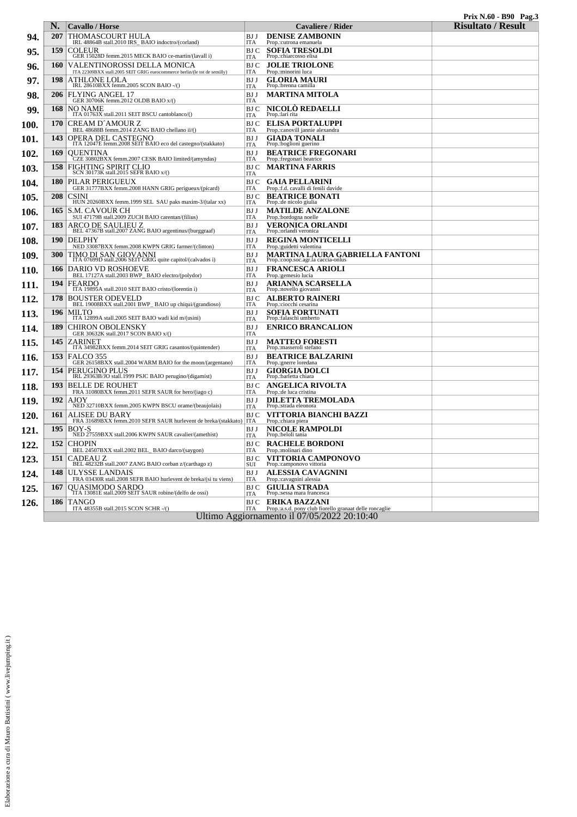|      | N.         | Cavallo / Horse                                                                                                                                                             | <b>Cavaliere / Rider</b>                                                                                      | $111 \text{A} 13.00 - D20 = 14 \text{g} \omega$<br><b>Risultato / Result</b> |
|------|------------|-----------------------------------------------------------------------------------------------------------------------------------------------------------------------------|---------------------------------------------------------------------------------------------------------------|------------------------------------------------------------------------------|
| 94.  | 207        | THOMASCOURT HULA<br>IRL 48864B stall.2010 IRS_BAIO indoctro/(corland)                                                                                                       | <b>DENISE ZAMBONIN</b><br>BJ J<br>Prop.: cutrona emanuela<br><b>ITA</b>                                       |                                                                              |
| 95.  | 159        | $\underset{\text{GER 15028D femm.2015 MECK BAIO ce-martin/(lavall i)}}{\text{GER 15028D femm.2015 MECK BAIO ce-martin/(lavall i)}}$                                         | <b>SOFIA TRESOLDI</b><br>BJ C<br>Prop.:chiarcosso elisa<br>ITA                                                |                                                                              |
| 96.  | <b>160</b> | VALENTINOROSSI DELLA MONICA<br>ITA 22309BXX stall.2005 SEIT GRIG eurocommerce berlin/(le tot de semilly)                                                                    | BJ C<br><b>JOLIE TRIOLONE</b><br>ITA<br>Prop.:minorini luca                                                   |                                                                              |
| 97.  | 198        | ATHLONE LOLA<br>IRL 28610BXX femm.2005 SCON BAIO -/()                                                                                                                       | BJ J<br><b>GLORIA MAURI</b><br>Prop.:brenna camilla<br><b>ITA</b>                                             |                                                                              |
| 98.  | <b>206</b> | <b>FLYING ANGEL 17</b><br>GER 30706K femm.2012 OLDB BAIO x/()                                                                                                               | BJ J<br><b>MARTINA MITOLA</b><br>ITA                                                                          |                                                                              |
| 99.  | 168        | $\begin{array}{c} {\rm NO\ NAME}\\ {\rm ITA\ 01763X\  \, stall.2011\  \, SET\  \, BSCU\  \, cantoblanco/()}\end{array}$                                                     | <b>NICOLÒ REDAELLI</b><br>BJ C<br>Prop.:lari rita<br>ITA                                                      |                                                                              |
| 100. | 170        | <b>CREAM D'AMOUR Z</b>                                                                                                                                                      | <b>ELISA PORTALUPPI</b><br>BJ C                                                                               |                                                                              |
| 101. | 143        | BEL 48688B femm.2014 ZANG BAIO chellano ii/()<br>OPERA DEL CASTEGNO<br>ITA 12047E femm.2008 SEIT BAIO eco del castegno/(stakkato)                                           | <b>ITA</b><br>Prop.:canovill jannie alexandra<br><b>GIADA TONALI</b><br>BJ J<br>Prop.:boglioni guerino<br>ITA |                                                                              |
| 102. | 169        | OUENTINA                                                                                                                                                                    | <b>BEATRICE FREGONARI</b><br>BJ J                                                                             |                                                                              |
| 103. | 158        | CZE 30802BXX femm.2007 CESK BAIO limited/(amyndas)<br>FIGHTING SPIRIT CLIQ<br>SCN 30173K stall.2015 SEFR BAIO x/()                                                          | ITA<br>Prop.: fregonari beatrice<br>MARTINA FARRIS<br>BJ C                                                    |                                                                              |
| 104. | <b>180</b> | PILAR PERIGUEUX                                                                                                                                                             | ITA<br><b>GAIA PELLARINI</b><br>BJ C                                                                          |                                                                              |
| 105. | 208        | GER 31777BXX femm.2008 HANN GRIG perigueux/(picard)<br><b>CSINI</b><br>HUN 20260BXX femm.1999 SEL SAU paks maxim-3/(talar xx)                                               | Prop.:f.d. cavalli di fenili davide<br>ITA<br><b>BEATRICE BONATI</b><br>BJ C                                  |                                                                              |
| 106. | 165        | S.M. CAVOUR CH                                                                                                                                                              | Prop.: de nicolo giulia<br>ITA<br>BJ J<br><b>MATILDE ANZALONE</b>                                             |                                                                              |
| 107. | 183        | SUI 47179B stall.2009 ZUCH BAIO carentan/(filius)<br>$\begin{array}{c} \mbox{ARCO DE SAULIEU Z}\\ \mbox{BEL 47367B stall.2007 ZANG BAIO argentinus/burggraaf)} \end{array}$ | Prop.:bordogna noelle<br>ITA<br>VERONICA ORLANDI<br>BJ J<br>Prop.:orlandi veronica                            |                                                                              |
| 108. | <b>190</b> | <b>DELPHY</b>                                                                                                                                                               | ITA<br>BJ J<br><b>REGINA MONTICELLI</b>                                                                       |                                                                              |
| 109. | <b>300</b> | NED 33087BXX femm.2008 KWPN GRIG farmer/(clinton)<br>TIMO DI SAN GIOVANNI<br>ITA 07699D stall.2006 SEIT GRIG quite capitol/(calvados i)                                     | Prop.:guidetti valentina<br>ITA<br>MARTINA LAURA GABRIELLA FANTONI<br>BJ J                                    |                                                                              |
| 110. | 166        | DARIO VD ROSHOEVE                                                                                                                                                           | Prop.:coop.soc.agr.la caccia-onlus<br><b>ITA</b><br><b>FRANCESCA ARIOLI</b><br>BJ J                           |                                                                              |
| 111. | 194        | BEL 17127A stall.2003 BWP_BAIO electro/(polydor)<br><b>FEARDO</b><br>ITA 19895A stall.2010 SEIT BAIO cristo/(lorentin i)                                                    | Prop.: gemesio lucia<br>ITA<br>ARIANNA SCARSELLA<br>BJ J<br>Prop.:novello giovanni                            |                                                                              |
| 112. | 178        | <b>BOUSTER ODEVELD</b><br>BEL 19008BXX stall.2001 BWP_BAIO up chiqui/(grandioso)                                                                                            | ITA<br><b>ALBERTO RAINERI</b><br>BJ C<br><b>ITA</b>                                                           |                                                                              |
| 113. | 196        | <b>MILTO</b><br>ITA 12899A stall.2005 SEIT BAIO wadi kid m/(usini)                                                                                                          | Prop.:ciocchi cesarina<br><b>SOFIA FORTUNATI</b><br>BJ J<br>Prop.:falaschi umberto                            |                                                                              |
| 114. | 189        | <b>CHIRON OBOLENSKY</b>                                                                                                                                                     | ITA<br>BJ J<br><b>ENRICO BRANCALION</b>                                                                       |                                                                              |
| 115. | 145        | GER 30632K stall.2017 SCON BAIO x/()<br>ZARINET<br>ITA 34982BXX femm.2014 SEIT GRIG casantos/(quintender)                                                                   | ITA<br>BJ J<br><b>MATTEO FORESTI</b><br>Prop.: masseroli stefano<br><b>ITA</b>                                |                                                                              |
| 116. | 153        | FALCO 355<br>GER 26158BXX stall.2004 WARM BAIO for the moon/(argentano)                                                                                                     | <b>BEATRICE BALZARINI</b><br>BJ J<br><b>ITA</b><br>Prop.:gnerre loredana                                      |                                                                              |
| 117. | 154        | PERUGINO PLUS<br>IRL 29363B/JO stall.1999 PSJC BAIO perugino/(digamist)                                                                                                     | <b>GIORGIA DOLCI</b><br>BJ J<br>Prop.:barletta chiara<br><u>ITA</u>                                           |                                                                              |
| 118. | 193        | <b>BELLE DE ROUHET</b><br>FRA 31080BXX femm.2011 SEFR SAUR for hero/(iago c)                                                                                                | <b>ANGELICA RIVOLTA</b><br>BJ C<br><b>ITA</b><br>Prop.: de luca cristina                                      |                                                                              |
| 119. | 192        | AJOY<br>NED 32710BXX femm.2005 KWPN BSCU orame/(beaujolais)                                                                                                                 | <b>DILETTA TREMOLADA</b><br>BJ J<br>Prop.:strada eleonora<br>ITA                                              |                                                                              |
| 120. | 161        | <b>ALISEE DU BARY</b><br>FRA 31689BXX femm.2010 SEFR SAUR hurlevent de breka/(stakkato)                                                                                     | BJ C<br>VITTORIA BIANCHI BAZZI<br><b>ITA</b><br>Prop.: chiara piera                                           |                                                                              |
| 121. | 195        | BOY-S<br>NED 27559BXX stall.2006 KWPN SAUR cavalier/(amethist)                                                                                                              | <b>NICOLE RAMPOLDI</b><br>BJ J<br>Prop.:beloli tania<br><b>ITA</b>                                            |                                                                              |
| 122. | 152        | <b>CHOPIN</b><br>BEL 24507BXX stall.2002 BEL_BAIO darco/(saygon)                                                                                                            | <b>RACHELE BORDONI</b><br>BJ C<br><b>ITA</b><br>Prop.: molinari dino                                          |                                                                              |
| 123. | 151        | CADEAU Z<br>BEL 48232B stall.2007 ZANG BAIO corban z/(carthago z)                                                                                                           | VITTORIA CAMPONOVO<br><b>BJ</b> C<br>Prop.:camponovo vittoria<br>SUI                                          |                                                                              |
| 124. | 148        | ULYSSE LANDAIS<br>FRA 03430R stall.2008 SEFR BAIO hurlevent de breka/(si tu viens)                                                                                          | <b>ALESSIA CAVAGNINI</b><br>BJ J<br>ITA<br>Prop.: cavagnini alessia                                           |                                                                              |
| 125. | 167        | OUASIMODO SARDO<br>TTA 13081E stall.2009 SEIT SAUR robine/(delfo de ossi)                                                                                                   | <b>GIULIA STRADA</b><br>BJ C<br>Prop.:sessa mara francesca<br>ITA                                             |                                                                              |
| 126. | 186        | <b>TANGO</b><br>ITA 48355B stall.2015 SCON SCHR-/()                                                                                                                         | <b>BJ C ERIKA BAZZANI</b><br>Prop.:a.s.d. pony club fiorello granaat delle roncaglie<br>ITA                   |                                                                              |
|      |            |                                                                                                                                                                             | Ultimo Aggiornamento il 07/05/2022 20:10:40                                                                   |                                                                              |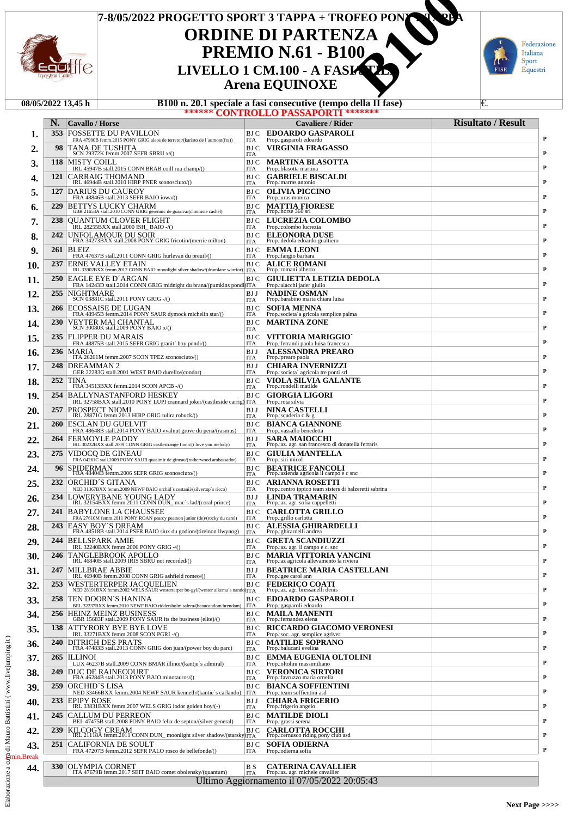

# **ORDINE DI PARTENZA PREMIO N.61 - B100**<br>LIVELLO 1 CM.100 - A FASI **Arena EQUINOXE 7-8/05/2022 PROGETTO SPORT 3 TAPPA + TROFEO PONY 2 TAPPA COROLER 1 CONTRANSIGNAL CONTRANSIGNAL CONTRANSIGNAL PREMIO N.61 - B100**<br> **LIVELLO 1 CM.100 - A FASI/STRANSIGNAL CONTRANSIGNAL CONTRANSIGNAL CONTRANSIGNAL CONTRANSIGNAL CONTRANSIGNAL CONTRANSIGNAL CONTRANSIGNAL CONTRANSIGN**



|     |            | 08/05/2022 13.45 h                                                                                         |                    | B100 n. 20.1 speciale a fasi consecutive (tempo della II fase)             | €.                        |
|-----|------------|------------------------------------------------------------------------------------------------------------|--------------------|----------------------------------------------------------------------------|---------------------------|
|     |            |                                                                                                            |                    | ****** <b>CONTROLLO PASSAPORTI *******</b>                                 |                           |
|     | N.<br>353  | <b>Cavallo</b> / Horse                                                                                     |                    | Cavaliere / Rider                                                          | <b>Risultato / Result</b> |
| ı.  |            | <b>FOSSETTE DU PAVILLON</b><br>FRA 47990B femm.2015 PONY GRIG aleos de terretot/(karisto de l'aumont(fra)) | ITA                | <b>BJ C EDOARDO GASPAROLI</b><br>Prop.: gasparoli edoardo                  |                           |
| 2.  | 98         | TANA DE TUSHITA<br>SCN 29372K femm.2007 SEFR SBRU x/()                                                     | BJ C<br><b>ITA</b> | VIRGINIA FRAGASSO                                                          |                           |
| 3.  | 118        | <b>MISTY COILL</b>                                                                                         | BJ C               | <b>MARTINA BLASOTTA</b>                                                    |                           |
| 4.  | 121        | IRL 45947B stall.2015 CONN BRAB coill rua champ/()<br>CARRAIG THOMAND                                      | ITA<br>BJ C        | Prop.:blasotta martina<br><b>GABRIELE BISCALDI</b>                         |                           |
|     |            | IRL 46944B stall.2010 HIRP PNER sconosciuto/()                                                             | <b>ITA</b>         | Prop.: marras antonio                                                      |                           |
| 5.  | 127        | <b>DARIUS DU CAUROY</b><br>FRA 48846B stall.2013 SEFR BAIO iowa/()                                         | BJ C<br>ITA        | <b>OLIVIA PICCINO</b><br>Prop.:uras monica                                 |                           |
| 6.  | 229        | <b>BETTYS LUCKY CHARM</b><br>GBR 21653A stall.2010 CONN GRIG gerennic de goariva/(cloonisie cashel)        | BJ C<br><b>ITA</b> | <b>MATTIA FIORESE</b><br>Prop.:horse 360 srl                               |                           |
| 7.  | 238        | QUANTUM CLOVER FLIGHT                                                                                      | BJ C               | LUCREZIA COLOMBO                                                           |                           |
| 8.  | 242        | IRL 28255BXX stall.2000 ISH_BAIO -/()<br>UNFOLAMOUR DU SOIR                                                | ITA<br>BJ C        | Prop.:colombo lucrezia<br><b>ELEONORA DUSE</b>                             |                           |
|     |            | FRA 34273BXX stall.2008 PONY GRIG fricotin/(merrie milton)                                                 | <b>ITA</b>         | Prop.: dedola edoardo gualtiero                                            |                           |
| 9.  | 261        | <b>BLEIZ</b><br>FRA 47637B stall.2011 CONN GRIG hurlevan du preuil/()                                      | BJ C<br><b>ITA</b> | <b>EMMA LEONI</b><br>Prop.:fangio barbara                                  |                           |
| 10. | 237        | <b>ERNE VALLEY ETAIN</b><br>IRL 33902BXX femm.2012 CONN BAIO moonlight silver shadow/(drumlane warrior)    | BJ C<br>  ITA      | <b>ALICE ROMANI</b><br>Prop.: romani alberto                               |                           |
| 11. | 250        | EAGLE EYE D'ARGAN                                                                                          | BJ C               | <b>GIULIETTA LETIZIA DEDOLA</b>                                            |                           |
| 12. | 255        | FRA 14243D stall.2014 CONN GRIG midnight du brana/(pumkins pondi)ITA<br>NIGHTMARE                          | BJ J               | Prop.:alacchi jader giulio<br><b>NADINE OSMAN</b>                          |                           |
|     |            | SCN 03881C stall.2011 PONY GRIG -/()                                                                       | <b>ITA</b>         | Prop.:barabino maria chiara luisa                                          |                           |
| 13. | 266        | ECOSSAISE DE LUGAN<br>FRA 48945B femm.2014 PONY SAUR dymock michelin star/()                               | BJ C<br><b>ITA</b> | <b>SOFIA MENNA</b><br>Prop.:societa'a gricola semplice palma               |                           |
| 14. | <b>230</b> | VEYTER MAI CHANTAL<br>SCN 30080K stall.2009 PONY BAIO x/()                                                 | BJ C<br><b>ITA</b> | MARTINA ZONE                                                               |                           |
| 15. | 235        | <b>FLIPPER DU MARAIS</b>                                                                                   | <b>BJ</b> C        | VITTORIA MARIGGIO                                                          |                           |
| 16. | 236        | FRA 48875B stall.2015 SEFR GRIG granit' boy pondi/()<br>MARIA                                              | ITA<br>BJ J        | Prop.: ferrandi paola luisa francesca<br><b>ALESSANDRA PREARO</b>          |                           |
|     |            | ITA 26261M femm.2007 SCON TPEZ sconosciuto/()                                                              | <b>ITA</b>         | Prop.:prearo paola                                                         |                           |
| 17. | 248        | DREAMMAN <sub>2</sub><br>GER 22283G stall.2001 WEST BAIO durello/(condor)                                  | BJ J<br><b>ITA</b> | <b>CHIARA INVERNIZZI</b><br>Prop.:societa' agricola tre ponti srl          |                           |
| 18. | 252        | TINA<br>FRA 34513BXX femm.2014 SCON APCB -/()                                                              | BJ C<br><b>ITA</b> | VIOLA SILVIA GALANTE<br>Prop.:rondelli matilde                             |                           |
| 19. | 254        | <b>BALLYNASTANFORD HESKEY</b>                                                                              | BJ C               | <b>GIORGIA LIGORI</b>                                                      |                           |
| 20. | 257        | IRL 32758BXX stall.2010 PONY LUPI crannard joker/(castleside carrig) ITA<br>PROSPECT NIOMI                 | BJ J               | Prop.:rota silvia<br><b>NINA CASTELLI</b>                                  |                           |
|     |            | IRL 28871G femm.2013 HIRP GRIG tulira robuck/()                                                            | <b>ITA</b>         | Prop.:scuderia c & g                                                       |                           |
| 21. | 260        | ESCLAN DU GUELVIT<br>FRA 48648B stall.2014 PONY BAIO vvalnut grove du pena/(rasmus)                        | BJ C<br><b>ITA</b> | <b>BIANCA GIANNONE</b><br>Prop.:vassallo benedetta                         |                           |
| 22. | 264        | <b>FERMOYLE PADDY</b><br>IRL 30232BXX stall.2009 CONN GRIG castlestrange fionn/(i love you melody)         | BJ J<br><b>ITA</b> | <b>SARA MAIOCCHI</b><br>Prop.:az. agr. san francesco di donatella ferraris |                           |
| 23. | 275        | VIDOCQ DE GINEAU                                                                                           | BJ C               | <b>GIULIA MANTELLA</b>                                                     |                           |
| 24. | 96         | FRA 04261C stall.2009 PONY SAUR quasimir de gineau/(rotherwood ambassador)<br>SPIDERMAN                    | <b>ITA</b><br>BJ C | Prop.:siri micol<br><b>BEATRICE FANCOLI</b>                                |                           |
|     | 232        | FRA 48404B femm.2006 SEFR GRIG sconosciuto/()<br><b>ORCHID'S GITANA</b>                                    | <b>ITA</b><br>BJ C | Prop.: azienda agricola il campo e c snc<br><b>ARIANNA ROSETTI</b>         |                           |
| 25. |            | NED 31367BXX femm.2009 NEWF BAIO orchid's cestanii/(silvertop's ricco)                                     | <b>ITA</b>         | Prop.:centro ippico team sisters di balzeretti sabrina                     |                           |
| 26. | 234        | LOWERYBANE YOUNG LADY<br>IRL 32154BXX femm.2011 CONN DUN_mac's lad/(coral prince)                          | BJ J<br><b>ITA</b> | <b>LINDA TRAMARIN</b><br>Prop.:az. agr. sofia cappelletti                  |                           |
| 27. | 241        | <b>BABYLONE LA CHAUSSEE</b>                                                                                | BJ C               | <b>CARLOTTA GRILLO</b><br>Prop.: grillo carlotta                           |                           |
| 28. |            | FRA 27610M femm.2011 PONY ROAN pearcy pearson junior (de)/(rocky du carel)<br>243 EASY BOY'S DREAM         | ITA<br>BJ C        | <b>ALESSIA GHIRARDELLI</b>                                                 |                           |
| 29. | 244        | FRA 48518B stall.2014 PSFR BAIO siux du godion/(tireinon llwynog)<br><b>BELLSPARK AMIE</b>                 | ITA                | Prop.:ghirardelli andrea<br>BJ C GRETA SCANDIUZZI                          |                           |
|     |            | IRL 32240BXX femm.2006 PONY GRIG -/()                                                                      | ITA                | Prop.:az. agr. il campo e c. snc                                           |                           |
| 30. | 246        | TANGLEBROOK APOLLO<br>IRL 46840B stall.2009 IRIS SBRU not recorded/()                                      | BJ C<br><b>ITA</b> | <b>MARIA VITTORIA VANCINI</b><br>Prop.:az agricola allevamento la riviera  |                           |
| 31. | 247        | MILLBRAE ABBIE<br>IRL 46940B femm.2008 CONN GRIG ashfield romeo/()                                         | BJ J<br><b>ITA</b> | <b>BEATRICE MARIA CASTELLANI</b><br>Prop.:gee carol ann                    |                           |
| 32. | 253        | WESTERTERPER JACOUELIEN                                                                                    | BJ C               | <b>FEDERICO COATI</b>                                                      |                           |
| 33. | 258        | NED 28191BXX femm.2002 WELS SAUR westerterper bo-gyi/(wester aikema's nandc)ITA<br>TEN DOORN´S HANINA      | BJ C               | Prop.:az. agr. bressanelli denis<br><b>EDOARDO GASPAROLI</b>               |                           |
|     |            | BEL 32237BXX femm.2010 NEWF BAIO riddersholm salem/(beaucandom brendam)                                    | ITA                | Prop.: gasparoli edoardo                                                   |                           |
| 34. | 256        | <b>HEINZ MEINZ BUSINESS</b><br>GBR 15683F stall.2009 PONY SAUR its the business (elite)/()                 | BJ C<br><b>ITA</b> | <b>MAILA MANENTI</b><br>Prop.:fernandez elena                              |                           |
| 35. | 138        | ATTYRORY BYE BYE LOVE<br>IRL 33271BXX femm.2008 SCON PGRI-/()                                              | BJ C<br><b>ITA</b> | <b>RICCARDO GIACOMO VERONESI</b><br>Prop.:soc. agr. semplice agriver       |                           |
| 36. | 240        | DITRICH DES PRATS                                                                                          | BJ C               | <b>MATILDE SOPRANO</b><br>Prop.:balucani evelina                           |                           |
| 37. | 265        | FRA 47483B stall.2013 CONN GRIG don juan/(power boy du parc)<br><b>ILLINOI</b>                             | <b>ITA</b><br>BJ C | <b>EMMA EUGENIA OLTOLINI</b>                                               |                           |
|     |            | LUX 46237B stall.2009 CONN BMAR illinoi/(kantje's admiral)                                                 | ITA                | Prop.:oltolini massimiliano                                                |                           |
| 38. | 249        | DUC DE RAINECOURT<br>FRA 46284B stall.2013 PONY BAIO minotauros/()                                         | BJ C<br><b>ITA</b> | <b>VERONICA SIRTORI</b><br>Prop.: favruzzo maria ornella                   |                           |
| 39. | <b>259</b> | ORCHID'S LISA<br>NED 33466BXX femm.2004 NEWF SAUR kenneth/(kantie's carlando)                              | BJ C<br>ITA        | <b>BIANCA SOFFIENTINI</b><br>Prop.:team soffientini asd                    |                           |
| 40. | 233        | <b>EPIPY ROSE</b>                                                                                          | BJ J               | <b>CHIARA FRIGERIO</b>                                                     |                           |
| 41. | 245        | IRL 33831BXX femm.2007 WELS GRIG lodor golden boy/(-)<br><b>CALLUM DU PERREON</b>                          | <b>ITA</b><br>BJ C | Prop.:frigerio angelo<br><b>MATILDE DIOLI</b>                              |                           |
|     |            | BEL 47475B stall.2008 PONY BAIO felix de septon/(silver general)                                           | ITA                | Prop.:grassi serena                                                        |                           |
| 42. | 239        | KILCOGY CREAM<br>IRL 21118A femm.2011 CONN DUN_ moonlight silver shadow/(starsky)ITA                       | BJ C               | <b>CARLOTTA ROCCHI</b><br>Prop.:cernusco riding pony club asd              |                           |
| 43. | 251        | CALIFORNIA DE SOULT<br>FRA 47207B femm.2012 SEFR PALO rosco de bellefonde/()                               | BJ C<br>ITA        | <b>SOFIA ODIERNA</b><br>Prop.:odierna sofia                                |                           |

**CATERINA CAVALLIER**<br>Prop.:az. agr. michele cavalliar

Ultimo Aggiornamento il 07/05/2022 20:05:43

 $B_{\text{ITA}}$ 

**44. 330** OLYMPIA CORNET BAIO cornet obolensky/(quantum) B S **CATERINA CAVALI** Prop.:az. agr. michele cavallier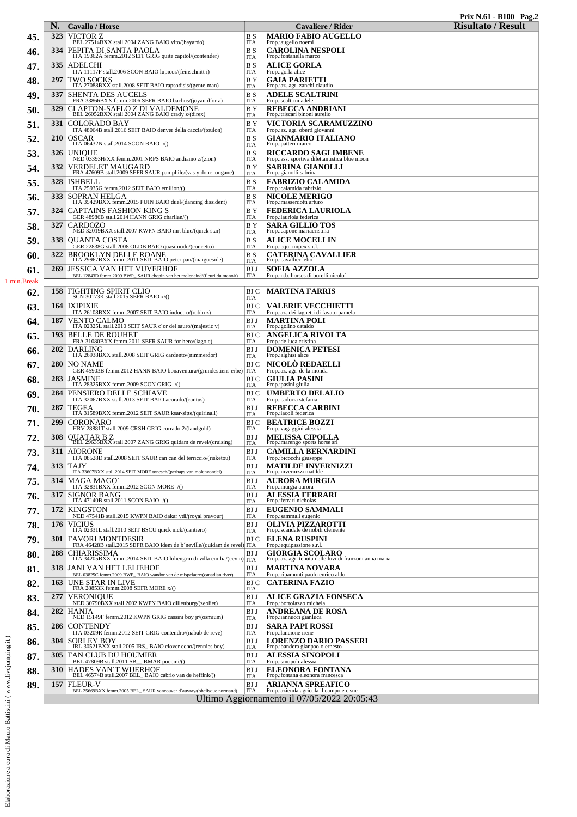|                                |            |                                                                                                                                         |                              |                                                                                  | Prix N.61 - B100 Pag.2<br><b>Risultato / Result</b> |
|--------------------------------|------------|-----------------------------------------------------------------------------------------------------------------------------------------|------------------------------|----------------------------------------------------------------------------------|-----------------------------------------------------|
| 45.                            | N.<br>323  | <b>Cavallo</b> / Horse<br>VICTOR Z                                                                                                      | B S                          | Cavaliere / Rider<br><b>MARIO FABIO AUGELLO</b>                                  |                                                     |
|                                | 334        | BEL 27514BXX stall.2004 ZANG BAIO vito/(bayardo)                                                                                        | <b>ITA</b><br>B S            | Prop.:augello noemi<br><b>CAROLINA NESPOLI</b>                                   |                                                     |
| 46.                            |            | PEPITA DI SANTA PAOLA<br>ITA 19362A femm.2012 SEIT GRIG quite capitol/(contender)<br><b>ADELCHI</b>                                     | <b>ITA</b>                   | Prop.:fontanella marco                                                           |                                                     |
| 47.                            | 335        | ITA 11117F stall.2006 SCON BAIO lupicor/(feinschnitt i)                                                                                 | B S<br><b>ITA</b>            | <b>ALICE GORLA</b><br>Prop.: gorla alice                                         |                                                     |
| 48.                            | 297        | TWO SOCKS<br>ITA 27088BXX stall.2008 SEIT BAIO rapsodisis/(gentelman)                                                                   | BY <sub></sub><br><b>ITA</b> | <b>GAIA PARIETTI</b><br>Prop.: az. agr. zanchi claudio                           |                                                     |
| 49.                            | 337        | <b>SHENTA DES AUCELS</b><br>FRA 33866BXX femm.2006 SEFR BAIO bachus/(joyau d'or a)                                                      | B S<br><b>ITA</b>            | <b>ADELE SCALTRINI</b><br>Prop.:scaltrini adele                                  |                                                     |
| 50.                            | 329        | CLAPTON-SAFLO Z DI VALDEMONE<br>BEL 26052BXX stall.2004 ZANG BAIO crady z/(direx)                                                       | BY <sub></sub><br><b>ITA</b> | <b>REBECCA ANDRIANI</b><br>Prop.: triscari binoni aurelio                        |                                                     |
| 51.                            | 331        | COLORADO BAY<br>ITA 48064B stall.2016 SEIT BAIO denver della caccia/(toulon)                                                            | ΒY<br><b>ITA</b>             | VICTORIA SCARAMUZZINO<br>Prop.:az. agr. oberti giovanni                          |                                                     |
| 52,                            | <b>210</b> | <b>OSCAR</b><br>ITA 06432N stall.2014 SCON BAIO -/()                                                                                    | B S<br><b>ITA</b>            | <b>GIANMARIO ITALIANO</b><br>Prop.:patteri marco                                 |                                                     |
| 53.                            | 326        | <b>UNIOUE</b><br>NED 03393H/XX femm.2001 NRPS BAIO andiamo z/(zion)                                                                     | B S<br><b>ITA</b>            | <b>RICCARDO SAGLIMBENE</b><br>Prop.:ass. sportiva dilettantistica blue moon      |                                                     |
| 54.                            | 332        | VERDELET MAUGARD<br>FRA 47609B stall.2009 SEFR SAUR pamphile/(vas y donc longane)                                                       | BY <sub></sub><br><b>ITA</b> | <b>SABRINA GIANOLLI</b><br>Prop.:gianolli sabrina                                |                                                     |
| 55.                            | 328        | <b>ISHBELL</b><br>ITA 25935G femm.2012 SEIT BAIO emilion/()                                                                             | B S<br><b>ITA</b>            | <b>FABRIZIO CALAMIDA</b><br>Prop.:calamida fabrizio                              |                                                     |
| 56.                            | 333        | SOPRAN HELGA<br>ITA 35429BXX femm.2015 PUIN BAIO duel/(dancing dissident)                                                               | B S<br><b>ITA</b>            | <b>NICOLE MERIGO</b><br>Prop.:masserdotti arturo                                 |                                                     |
| 57.                            | 324        | CAPTAINS FASHION KING S<br>GER 48986B stall.2014 HANN GRIG charilan/()                                                                  | ΒY<br><b>ITA</b>             | <b>FEDERICA LAURIOLA</b><br>Prop.:lauriola federica                              |                                                     |
| 58.                            | 327        | CARDOZO<br>NED 32019BXX stall.2007 KWPN BAIO mr. blue/(quick star)                                                                      | BY <sub></sub>               | <b>SARA GILLIO TOS</b><br>Prop.: capone mariacristina                            |                                                     |
| 59.                            | 338        | OUANTA COSTA                                                                                                                            | <b>ITA</b><br>B S            | <b>ALICE MOCELLIN</b>                                                            |                                                     |
| 60.                            | 322        | GER 22838G stall.2008 OLDB BAIO quasimodo/(concetto)<br>BROOKLYN DELLE ROANE<br>ITA 29967BXX femm.2011 SEIT BAIO peter pan/(maigueside) | <b>ITA</b><br>B S            | Prop.: equi impex s.r.l.<br><b>CATERINA CAVALLIER</b>                            |                                                     |
| 61.                            | 269        | JESSICA VAN HET VIJVERHOF                                                                                                               | <b>ITA</b><br>BJ J           | Prop.: cavallier lelio<br><b>SOFIA AZZOLA</b>                                    |                                                     |
| 1 min.Break                    |            | BEL 12843D femm.2009 BWP_SAUR chopin van het moleneind/(fleuri du manoir)                                                               | <b>ITA</b>                   | Prop.:n.b. horses di borelli nicolo'                                             |                                                     |
| 62.                            |            | 158 FIGHTING SPIRIT CLIO<br>SCN 30173K stall.2015 SEFR BAIO x/()                                                                        | ITA                          | <b>BJC MARTINA FARRIS</b>                                                        |                                                     |
| 63.                            | 164        | <b>IXIPIXIE</b><br>ITA 26108BXX femm.2007 SEIT BAIO indoctro/(robin z)                                                                  | ITA                          | <b>BJC VALERIE VECCHIETTI</b><br>Prop.: az. dei laghetti di favato pamela        |                                                     |
| 64.                            | 187        | VENTO CALMO<br>ITA 02325L stall.2010 SEIT SAUR c'or del sauro/(majestic v)                                                              | BJ J<br><b>ITA</b>           | <b>MARTINA POLI</b><br>Prop.:golino cataldo                                      |                                                     |
| 65.                            | 193        | <b>BELLE DE ROUHET</b><br>FRA 31080BXX femm.2011 SEFR SAUR for hero/(iago c)                                                            | BJ C<br><b>ITA</b>           | <b>ANGELICA RIVOLTA</b><br>Prop.: de luca cristina                               |                                                     |
| 66.                            | 202        | <b>DARLING</b><br>ITA 26938BXX stall.2008 SEIT GRIG cardento/(nimmerdor)                                                                | BJ J<br><b>ITA</b>           | <b>DOMENICA PETESI</b><br>Prop.:alghisi alice                                    |                                                     |
| 67.                            | 280        | NO NAME<br>GER 45903B femm.2012 HANN BAIO bonaventura/(grundestiens erbe)                                                               | BJ C<br><b>ITA</b>           | <b>NICOLO REDAELLI</b><br>Prop.: az. agr. de la monda                            |                                                     |
| 68.                            | 283        | <b>JASMINE</b><br>ITA 28325BXX femm.2009 SCON GRIG $-$ /()                                                                              | BJ C<br><b>ITA</b>           | <b>GIULIA PASINI</b><br>Prop.:pasini giulia                                      |                                                     |
| 69.                            | 284        | PENSIERO DELLE SCHIAVE<br>ITA 32067BXX stall.2013 SEIT BAIO acorado/(cantus)                                                            | BJ C<br><b>ITA</b>           | <b>UMBERTO DELALIO</b><br>Prop.:cadoria stefania                                 |                                                     |
| 70.                            | 287        | TEGEA<br>ITA 31589BXX femm.2012 SEIT SAUR ksar-sitte/(quirinali)                                                                        | BJ J<br><b>ITA</b>           | <b>REBECCA CARBINI</b><br>Prop.:iacoli federica                                  |                                                     |
| 71.                            | 299        | CORONARO<br>HRV 28881T stall.2009 CRSH GRIG corrado 2/(landgold)                                                                        | ITA                          | <b>BJ C BEATRICE BOZZI</b><br>Prop.: vagaggini alessia                           |                                                     |
| 72.                            | 308        | <b>OUATAR B Z</b><br>BEL 29635BXX stall.2007 ZANG GRIG quidam de revel/(cruising)                                                       | BJ J                         | <b>MELISSA CIPOLLA</b><br>Prop.:marengo sports horse srl                         |                                                     |
| 73.                            | 311        | <b>AIORONE</b>                                                                                                                          | ITA<br>BJ J                  | <b>CAMILLA BERNARDINI</b>                                                        |                                                     |
| 74.                            | 313        | ITA 08528D stall.2008 SEIT SAUR can can del terriccio/(risketou)<br><b>TAJY</b>                                                         | <b>ITA</b><br>BJ J           | Prop.:bicocchi giuseppe<br><b>MATILDE INVERNIZZI</b>                             |                                                     |
| 75.                            | 314        | ITA 33607BXX stall.2014 SEIT MORE tonesch/(perhaps van molenvondel)<br>MAGA MAGO                                                        | <b>ITA</b><br>BJ J           | Prop.:invernizzi matilde<br><b>AURORA MURGIA</b>                                 |                                                     |
| 76.                            | 317        | ITA 32831BXX femm.2012 SCON MORE -/()<br><b>SIGNOR BANG</b>                                                                             | <b>ITA</b><br>BJ J           | Prop.: murgia aurora<br><b>ALESSIA FERRARI</b>                                   |                                                     |
| 77.                            | 172        | ITA 47140B stall.2011 SCON BAIO -/()<br>KINGSTON                                                                                        | ITA<br>BJ J                  | Prop.: ferrari nicholas<br><b>EUGENIO SAMMALI</b>                                |                                                     |
| 78.                            | 176        | NED 47541B stall.2015 KWPN BAIO dakar vdl/(royal bravour)<br><b>VICIUS</b>                                                              | <b>ITA</b><br>BJ J           | Prop.:sammali eugenio<br><b>OLIVIA PIZZAROTTI</b>                                |                                                     |
| 79.                            | 301        | ITA 02331L stall.2010 SEIT BSCU quick nick/(cantiero)<br><b>FAVORI MONTDESIR</b>                                                        | <b>ITA</b><br>BJ C           | Prop.:scandale de nobili clemente<br><b>ELENA RUSPINI</b>                        |                                                     |
| 80.                            | 288        | FRA 46428B stall.2015 SEFR BAIO idem de b'neville/(quidam de revel<br><b>CHIARISSIMA</b>                                                | <b>ITA</b><br>BJ J           | Prop.:equipassione s.r.l.<br><b>GIORGIA SCOLARO</b>                              |                                                     |
| 81.                            | 318        | ITA 34205BXX femm.2014 SEIT BAIO lohengrin di villa emilia/(cevin) ITA<br>JANI VAN HET LELIEHOF                                         | BJ J                         | Prop.:az. agr. tenuta delle luvi di franzoni anna maria<br><b>MARTINA NOVARA</b> |                                                     |
| 82.                            | <b>163</b> | BEL 03825C femm.2009 BWP_BAIO wandor van de mispelaere/(canadian river)<br>UNE STAR IN LIVE                                             | <b>ITA</b><br>BJ C           | Prop.: ripamonti paolo enrico aldo<br><b>CATERINA FAZIO</b>                      |                                                     |
| 83.                            | 277        | FRA 28853K femm.2008 SEFR MORE x/()<br>VERONIOUE                                                                                        | ITA<br>BJ J                  | <b>ALICE GRAZIA FONSECA</b>                                                      |                                                     |
| 84.                            | 282        | NED 30790BXX stall.2002 KWPN BAIO dillenburg/(zeoliet)<br><b>HANJA</b>                                                                  | <b>ITA</b><br>BJ J           | Prop.:bortolazzo michela<br><b>ANDREANA DE ROSA</b>                              |                                                     |
| 85.                            | 286        | NED 15149F femm.2012 KWPN GRIG cassini boy jr/(osmium)<br><b>CONTENDY</b>                                                               | <b>ITA</b><br>BJ J           | Prop.:iannucci gianluca<br><b>SARA PAPI ROSSI</b>                                |                                                     |
|                                | 304        | ITA 03209R femm.2012 SEIT GRIG contendro/(nabab de reve)<br><b>SORLEY BOY</b>                                                           | <b>ITA</b><br>BJ J           | Prop.:lancione irene<br><b>LORENZO DARIO PASSERI</b>                             |                                                     |
| 86.                            |            | IRL 30521BXX stall.2005 IRS_BAIO clover echo/(rennies boy)<br><b>305 FAN CLUB DU HOUMIER</b>                                            | <b>ITA</b><br>BJ J           | Prop.:bandera gianpaolo ernesto<br><b>ALESSIA SINOPOLI</b>                       |                                                     |
| ni (www.livejumping.it)<br>87. |            | BEL 47809B stall.2011 SB BMAR puccini/()                                                                                                | <b>ITA</b>                   | Prop.:sinopoli alessia                                                           |                                                     |
| 88.                            | 310        | HADES VAN'T WIJERHOF<br>BEL 46574B stall.2007 BEL_BAIO cabrio van de heffink/()                                                         | BJ J<br><b>ITA</b>           | <b>ELEONORA FONTANA</b><br>Prop.:fontana eleonora francesca                      |                                                     |
| 89.                            | 157        | FLEUR-V<br>BEL 25669BXX femm.2005 BEL_SAUR vancouver d'auvray/(obelisque normand)                                                       | BJ J<br><b>ITA</b>           | <b>ARIANNA SPREAFICO</b><br>Prop.: azienda agricola il campo e c sno             |                                                     |
|                                |            |                                                                                                                                         |                              | Ultimo Aggiornamento il 07/05/2022 20:05:43                                      |                                                     |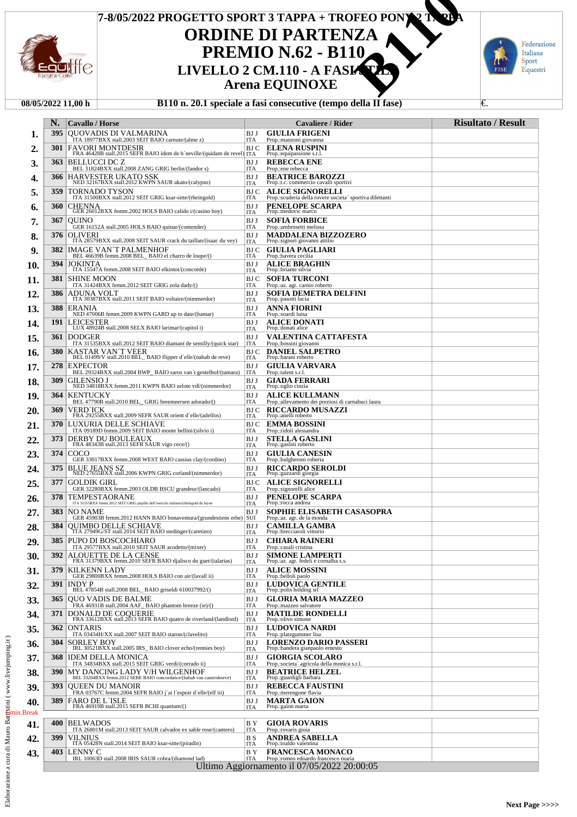

# **ORDINE DI PARTENZA PREMIO N.62 - B110<br>LIVELLO 2 CM.110 - A FASK Arena EQUINOXE 7-8/05/2022 PROGETTO SPORT 3 TAPPA + TROFEO PONY 2 TAPPA LIVELLO 2 CM.110 - A FASI/STRANGE CONSTREMENT PREMIO N.62 - B110**<br> **LIVELLO 2 CM.110 - A FASI/STRANGE Arena EQUINOXE**



### **08/05/2022 11,00 h B110 n. 20.1 speciale a fasi consecutive (tempo della II fase)** €.

|             | N.   | <b>Cavallo</b> / Horse                                                                                                                                                                                                   |                    | Cavaliere / Rider                                                                                     | <b>Risultato / Result</b> |
|-------------|------|--------------------------------------------------------------------------------------------------------------------------------------------------------------------------------------------------------------------------|--------------------|-------------------------------------------------------------------------------------------------------|---------------------------|
| ı.          | 395  | <b>OUOVADIS DI VALMARINA</b><br>ITA 18977BXX stall.2003 SEIT BAIO carnute/(alme z)                                                                                                                                       | BJ J<br>ITA        | <b>GIULIA FRIGENI</b><br>Prop.:manzoni giovanna                                                       |                           |
| 2.          | 301  | <b>FAVORI MONTDESIR</b><br>FRA 46428B stall.2015 SEFR BAIO idem de b'neville/(quidam de revel) ITA                                                                                                                       | BJ C               | <b>ELENA RUSPINI</b><br>Prop.:equipassione s.r.l.                                                     |                           |
| 3.          | 363  | <b>BELLUCCI DC Z</b><br>BEL 31824BXX stall.2008 ZANG GRIG berlin/(landor s)                                                                                                                                              | BJ J<br>ITA        | <b>REBECCA ENE</b><br>Prop.:ene rebecca                                                               |                           |
| 4.          | 366  | HARVESTER UKATO SSK<br>NED 32167BXX stall.2012 KWPN SAUR ukato/(calypso)                                                                                                                                                 | BJ J<br>ITA        | <b>BEATRICE BAROZZI</b><br>Prop.:t.c. commercio cavalli sportivi                                      |                           |
| 5.          | 359  | TORNADO TYSON<br>ITA 31500BXX stall.2012 SEIT GRIG ksar-sitte/(rheingold)                                                                                                                                                | BJ C<br>ITA        | <b>ALICE SIGNORELLI</b><br>Prop.:scuderia della rovere societa' sportiva dilettanti                   |                           |
| 6.          | 360  | <b>CHENNA</b><br>GER 26012BXX femm.2002 HOLS BAIO calido i/(casino boy)                                                                                                                                                  | BJ J               | PENELOPE SCARPA<br>Prop.:medovic marco                                                                |                           |
| 7.          | 367  | <b>OUINO</b>                                                                                                                                                                                                             | ITA<br>BJ J        | <b>SOFIA FORBICE</b>                                                                                  |                           |
| 8.          | 376  | GER 16152A stall.2005 HOLS BAIO quinar/(contender)<br><b>OLIVERI</b><br>ITA 28579BXX stall.2008 SEIT SAUR crack du taillan/(isaac du vey)                                                                                | ITA<br>BJ J        | Prop.:ambrosetti melissa<br>MADDALENA BIZZOZERO<br>Prop.:signori giovanni attilio                     |                           |
| 9.          | 382  | <b>IMAGE VAN'T PALMENHOF</b><br>BEL 46639B femm.2008 BEL BAIO el charro de loupe/()                                                                                                                                      | ITA<br>BJ C        | <b>GIULIA PAGLIARI</b>                                                                                |                           |
| 10.         | 394  | <b>JOKINTA</b><br>ITA 15547A femm.2008 SEIT BAIO elkintot/(concorde)                                                                                                                                                     | ITA<br>BJ J        | Prop.:bavera cecilia<br><b>ALICE BRAGHIN</b><br>Prop.:briante silvia                                  |                           |
| 11.         | 381  | <b>SHINE MOON</b>                                                                                                                                                                                                        | ITA<br>BJ C        | <b>SOFIA TURCONI</b>                                                                                  |                           |
| 12.         | 386  | ITA 31424BXX femm.2012 SEIT GRIG zola dady/()<br>ADUNA VOLT<br>ITA 30387BXX stall.2011 SEIT BAIO voltaire/(nimmerdor)                                                                                                    | ITA<br>BJ J        | Prop.:az. agr. carnio roberto<br>SOFIA DEMETRA DELFINI<br>Prop.:pasotti lucia                         |                           |
| 13.         | 388  | <b>ERANIA</b>                                                                                                                                                                                                            | ITA<br>BJ J        | <b>ANNA FIORINI</b><br>Prop.:soardi luisa                                                             |                           |
| 14.         | 191  | NED 47006B femm.2009 KWPN GARD up to date/(hamar)<br>LEICESTER<br>LUX 48924B stall.2008 SELX BAIO larimar/(capitol i)                                                                                                    | ITA<br>BJ J        | <b>ALICE DONATI</b><br>Prop.: donati alice                                                            |                           |
| 15.         | 361  | <b>DODGER</b>                                                                                                                                                                                                            | ITA<br>BJ J        | <b>VALENTINA CATTAFESTA</b>                                                                           |                           |
| 16.         | 380  | ITA 31535BXX stall.2012 SEIT BAIO diamant de semilly/(quick star)<br>$\begin{array}{lcl} \textbf{KASTAR VAN} & \textbf{T VER} \\ \textbf{BEL 01499/V stall.2010 BEL\_BAIO flipper d'elle/(nabab de revel) } \end{array}$ | ITA<br>BJ C        | Prop.:bossini giovanni<br><b>DANIEL SALPETRO</b><br>Prop.:barani roberto                              |                           |
| 17.         | 278  | <b>EXPECTOR</b><br>BEL 29324BXX stall.2004 BWP BAIO saros van't gestelhof/(tamara)                                                                                                                                       | ITA<br>BJ J        | <b>GIULIA VARVARA</b><br>Prop.:talent s.r.l                                                           |                           |
| 18.         | 309  | <b>GILENSIO J</b><br>NED 34818BXX femm.2011 KWPN BAIO zelote vdl/(nimmerdor)                                                                                                                                             | ITA<br>BJ J        | <b>GIADA FERRARI</b><br>Prop.:oglio cinzia                                                            |                           |
| 19.         | 364  | <b>KENTUCKY</b>                                                                                                                                                                                                          | ITA<br>BJ J        | <b>ALICE KULLMANN</b>                                                                                 |                           |
| 20.         | 369  | BEL 47790B stall.2010 BEL_ GRIG breemeersen adorado/()<br><b>VERD ICK</b><br>FRA 29255BXX stall.2009 SEFR SAUR orient d'elle/(adelfos)                                                                                   | ITA<br>BJ C<br>ITA | Prop.: allevamento dei preziosi di carnabuci laura<br><b>RICCARDO MUSAZZI</b><br>Prop.:anelli roberto |                           |
| 21.         | 370  | LUXURIA DELLE SCHIAVE<br>ITA 09189D femm.2009 SEIT BAIO monte bellini/(silvio i)                                                                                                                                         | BJ C<br>ITA        | <b>EMMA BOSSINI</b><br>Prop.:ridoli alessandra                                                        |                           |
| 22.         | 373  | DERBY DU BOULEAUX<br>FRA 48343B stall.2013 SEFR SAUR vigo cece/()                                                                                                                                                        | BJ J<br>ITA        | <b>STELLA GASLINI</b><br>Prop.:gaslini roberto                                                        |                           |
| 23.         | 374  | COCO<br>GER 33017BXX femm.2008 WEST BAIO cassius clay/(cordino)                                                                                                                                                          | BJ J<br>ITA        | <b>GIULIA CANESIN</b><br>Prop.:bulgheroni roberta                                                     |                           |
| 24.         | 375  | <b>BLUE JEANS SZ</b><br>NED 27655BXX stall.2006 KWPN GRIG corland/(nimmerdor)                                                                                                                                            | BJ J<br>ITA        | <b>RICCARDO SEROLDI</b><br>Prop.:guzzardi giorgia                                                     |                           |
| 25.         | 377  | <b>GOLDIK GIRL</b><br>GER 32280BXX femm.2003 OLDB BSCU grandeur/(lancado)                                                                                                                                                | BJ C<br>ITA        | <b>ALICE SIGNORELLI</b><br>Prop.:signorelli alice                                                     |                           |
| 26.         | 378  | <b>TEMPESTAORANE</b><br>ITA 31555BXX femm.2012 SEIT GRIG pupillo dell'esercito italiano/(rheingold de luyne                                                                                                              | BJ J<br>ITA        | PENELOPE SCARPA<br>Prop.:rocca andrea                                                                 |                           |
| 27.         | 383  | NO NAME<br>GER 45903B femm.2012 HANN BAIO bonaventura/(grundestiens erbe)                                                                                                                                                | BJ J<br>SUI        | <b>SOPHIE ELISABETH CASASOPRA</b><br>Prop.:az. agr. de la monda                                       |                           |
| 28.         | 384  | <b>OUIMBO DELLE SCHIAVE</b><br>TTA 27949G/ST stall.2014 SEIT BAIO stedinger/(caretino)                                                                                                                                   | BJ J<br>ITA        | <b>CAMILLA GAMBA</b><br>Prop.:brecciaroli vittorio                                                    |                           |
| 29.         | 385  | PUPO DI BOSCOCHIARO<br>ITA 29577BXX stall.2010 SEIT SAUR acodetto/(mixer)                                                                                                                                                | BJ J<br>ITA        | <b>CHIARA RAINERI</b><br>Prop.: casali cristina                                                       |                           |
| 30.         | 392  | ALOUETTE DE LA CENSE<br>FRA 31379BXX femm.2010 SEFR BAIO djalisco du guet/(talarias)                                                                                                                                     | BJ J<br>ITA        | <b>SIMONE LAMPERTI</b><br>Prop.:az. agr. fedeli e cornalba s.s.                                       |                           |
| 31.         | 379  | <b>KILKENN LADY</b><br>GER 29800BXX femm.2008 HOLS BAIO con air/(lavall ii)                                                                                                                                              | BJ J<br>ITA        | <b>ALICE MOSSINI</b><br>Prop.:belloli paolo                                                           |                           |
| 32.         | 391  | <b>INDYP</b><br>BEL 47854B stall.2008 BEL_BAIO griseldi 610037992/()                                                                                                                                                     | BJ J<br>ITA        | <b>LUDOVICA GENTILE</b><br>Prop.:polis holding srl                                                    |                           |
| 33.         | 365  | <b>OUO VADIS DE BALME</b><br>FRA 46931B stall.2004 AAF_BAIO phantom breeze (ie)/()                                                                                                                                       | BJ J<br>ITA        | <b>GLORIA MARIA MAZZEO</b><br>Prop.: mazzeo salvatore                                                 |                           |
| 34.         | 371  | <b>DONALD DE COQUERIE</b><br>FRA 33612BXX stall.2013 SEFR BAIO quatro de riverland/(landlord)                                                                                                                            | BJ J<br>ITA        | <b>MATILDE RONDELLI</b><br>Prop.:olivo simone                                                         |                           |
| 35.         | 362  | ONTARIS<br>ITA 03434H/XX stall.2007 SEIT BAIO staron/(clavelito)                                                                                                                                                         | BJ J<br>ITA        | LUDOVICA NARDI<br>Prop.:platzgummer lisa                                                              |                           |
| 36.         | 304  | SORLEY BOY<br>IRL 30521BXX stall.2005 IRS BAIO clover echo/(rennies boy)                                                                                                                                                 | BJ J<br>ITA        | <b>LORENZO DARIO PASSERI</b><br>Prop.:bandera gianpaolo ernesto                                       |                           |
| 37.         | 368  | <b>IDEM DELLA MONICA</b><br>ITA 34834BXX stall.2015 SEIT GRIG verdi/(corrado ii)                                                                                                                                         | BJ J<br>ITA        | <b>GIORGIA SCOLARO</b><br>Prop.:societa' agricola della monica s.r.l.                                 |                           |
| 38.         | 390  | MY DANCING LADY V/H WILGENHOF<br>BEL 33204BXX femm.2012 SEBE BAIO concordance/(habah van castershoeve)                                                                                                                   | BJ J<br>ITA        | <b>BEATRICE HELZEL</b><br>Prop.:guardigli barbara                                                     |                           |
| 39.         | 393  | <b>OUEEN DU MANOIR</b><br>FRA 03767C femm.2004 SEFR BAIO j'ai l'espoir d'elle/(elf iii)                                                                                                                                  | BJ J<br>ITA        | <b>REBECCA FAUSTINI</b><br>Prop.:merengone flavia                                                     |                           |
| 40.         | 389  | <b>FARO DE L'ISLE</b><br>FRA 46919B stall.2015 SEFR BCHI quantum/()                                                                                                                                                      | BJ J<br><b>ITA</b> | <b>MARTA GAION</b><br>Prop.:gaion marta                                                               |                           |
| reak<br>41. | 400- | <b>BELWADOS</b>                                                                                                                                                                                                          | B Y                | <b>GIOIA ROVARIS</b>                                                                                  |                           |
| 42.         | 399  | ITA 26801M stall.2013 SEIT SAUR calvados ex sable rose/(cantero)<br><b>VILNIUS</b>                                                                                                                                       | ITA<br>B S         | Prop.: rovaris gioia<br>ANDREA SABELLA                                                                |                           |
| 43.         | 403  | ITA 05428N stall.2014 SEIT BAIO ksar-sitte/(piradin)<br>LENNY C                                                                                                                                                          | ITA<br>BY          | Prop.:toaldo valentina<br><b>FRANCESCA MONACO</b>                                                     |                           |
|             |      | IRL 10063D stall.2008 IRIS SAUR cobra/(diamond lad)                                                                                                                                                                      | <b>ITA</b>         | Prop.:romeo edoardo francesco maria<br>Ultimo Aggiornamento il 07/05/2022 20:00:05                    |                           |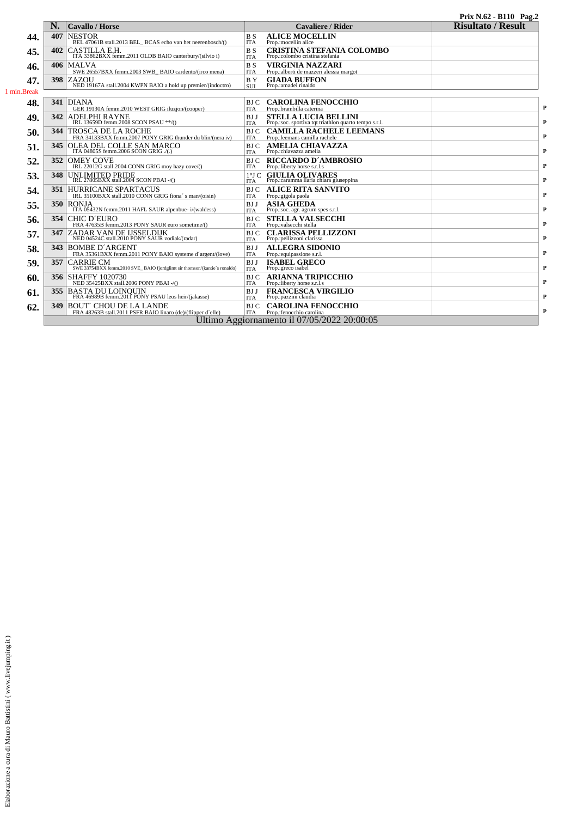| N.<br><b>Cavallo / Horse</b><br>407<br><b>NESTOR</b><br>BEL 47061B stall.2013 BEL BCAS echo van het neerenbosch/()<br>CASTILLA E.H.<br>ITA 33862BXX femm.2011 OLDB BAIO canterbury/(silvio i)<br>402<br><b>MALVA</b><br>406<br>SWE 26557BXX femm.2003 SWB BAIO cardento/(irco mena)<br>398<br>ZAZOU | <b>Cavaliere / Rider</b><br><b>ALICE MOCELLIN</b><br><b>BS</b><br><b>ITA</b><br>Prop.:mocellin alice<br><b>CRISTINA STEFANIA COLOMBO</b><br>Prop.:colombo cristina stefania<br><b>BS</b><br><b>ITA</b><br><b>VIRGINIA NAZZARI</b><br><b>BS</b><br><b>ITA</b><br>Prop.: alberti de mazzeri alessia margot                                                                                                                                                                                                                                                                                                                                                                                                                                        | <b>Risultato / Result</b>                                                                                                                                                                                                                                                                                                                                                                                                                                                                                                                                                                                                                                                                                                                                                                                                                                                                                                                 |
|-----------------------------------------------------------------------------------------------------------------------------------------------------------------------------------------------------------------------------------------------------------------------------------------------------|-------------------------------------------------------------------------------------------------------------------------------------------------------------------------------------------------------------------------------------------------------------------------------------------------------------------------------------------------------------------------------------------------------------------------------------------------------------------------------------------------------------------------------------------------------------------------------------------------------------------------------------------------------------------------------------------------------------------------------------------------|-------------------------------------------------------------------------------------------------------------------------------------------------------------------------------------------------------------------------------------------------------------------------------------------------------------------------------------------------------------------------------------------------------------------------------------------------------------------------------------------------------------------------------------------------------------------------------------------------------------------------------------------------------------------------------------------------------------------------------------------------------------------------------------------------------------------------------------------------------------------------------------------------------------------------------------------|
|                                                                                                                                                                                                                                                                                                     |                                                                                                                                                                                                                                                                                                                                                                                                                                                                                                                                                                                                                                                                                                                                                 |                                                                                                                                                                                                                                                                                                                                                                                                                                                                                                                                                                                                                                                                                                                                                                                                                                                                                                                                           |
|                                                                                                                                                                                                                                                                                                     |                                                                                                                                                                                                                                                                                                                                                                                                                                                                                                                                                                                                                                                                                                                                                 |                                                                                                                                                                                                                                                                                                                                                                                                                                                                                                                                                                                                                                                                                                                                                                                                                                                                                                                                           |
|                                                                                                                                                                                                                                                                                                     |                                                                                                                                                                                                                                                                                                                                                                                                                                                                                                                                                                                                                                                                                                                                                 |                                                                                                                                                                                                                                                                                                                                                                                                                                                                                                                                                                                                                                                                                                                                                                                                                                                                                                                                           |
|                                                                                                                                                                                                                                                                                                     |                                                                                                                                                                                                                                                                                                                                                                                                                                                                                                                                                                                                                                                                                                                                                 |                                                                                                                                                                                                                                                                                                                                                                                                                                                                                                                                                                                                                                                                                                                                                                                                                                                                                                                                           |
|                                                                                                                                                                                                                                                                                                     |                                                                                                                                                                                                                                                                                                                                                                                                                                                                                                                                                                                                                                                                                                                                                 |                                                                                                                                                                                                                                                                                                                                                                                                                                                                                                                                                                                                                                                                                                                                                                                                                                                                                                                                           |
|                                                                                                                                                                                                                                                                                                     |                                                                                                                                                                                                                                                                                                                                                                                                                                                                                                                                                                                                                                                                                                                                                 |                                                                                                                                                                                                                                                                                                                                                                                                                                                                                                                                                                                                                                                                                                                                                                                                                                                                                                                                           |
|                                                                                                                                                                                                                                                                                                     | BY<br><b>GIADA BUFFON</b>                                                                                                                                                                                                                                                                                                                                                                                                                                                                                                                                                                                                                                                                                                                       |                                                                                                                                                                                                                                                                                                                                                                                                                                                                                                                                                                                                                                                                                                                                                                                                                                                                                                                                           |
| NED 19167A stall.2004 KWPN BAIO a hold up premier/(indoctro)                                                                                                                                                                                                                                        | Prop.:amadei rinaldo<br><b>SUI</b>                                                                                                                                                                                                                                                                                                                                                                                                                                                                                                                                                                                                                                                                                                              |                                                                                                                                                                                                                                                                                                                                                                                                                                                                                                                                                                                                                                                                                                                                                                                                                                                                                                                                           |
|                                                                                                                                                                                                                                                                                                     |                                                                                                                                                                                                                                                                                                                                                                                                                                                                                                                                                                                                                                                                                                                                                 |                                                                                                                                                                                                                                                                                                                                                                                                                                                                                                                                                                                                                                                                                                                                                                                                                                                                                                                                           |
|                                                                                                                                                                                                                                                                                                     |                                                                                                                                                                                                                                                                                                                                                                                                                                                                                                                                                                                                                                                                                                                                                 |                                                                                                                                                                                                                                                                                                                                                                                                                                                                                                                                                                                                                                                                                                                                                                                                                                                                                                                                           |
|                                                                                                                                                                                                                                                                                                     |                                                                                                                                                                                                                                                                                                                                                                                                                                                                                                                                                                                                                                                                                                                                                 |                                                                                                                                                                                                                                                                                                                                                                                                                                                                                                                                                                                                                                                                                                                                                                                                                                                                                                                                           |
| IRL 13659D femm.2008 SCON PSAU **/()                                                                                                                                                                                                                                                                | Prop.:soc. sportiva tqt triathlon quarto tempo s.r.l.<br><b>ITA</b>                                                                                                                                                                                                                                                                                                                                                                                                                                                                                                                                                                                                                                                                             |                                                                                                                                                                                                                                                                                                                                                                                                                                                                                                                                                                                                                                                                                                                                                                                                                                                                                                                                           |
| <b>TROSCA DE LA ROCHE</b>                                                                                                                                                                                                                                                                           | <b>CAMILLA RACHELE LEEMANS</b><br>BJ C                                                                                                                                                                                                                                                                                                                                                                                                                                                                                                                                                                                                                                                                                                          |                                                                                                                                                                                                                                                                                                                                                                                                                                                                                                                                                                                                                                                                                                                                                                                                                                                                                                                                           |
|                                                                                                                                                                                                                                                                                                     | Prop.:leemans camilla rachele<br><b>ITA</b>                                                                                                                                                                                                                                                                                                                                                                                                                                                                                                                                                                                                                                                                                                     |                                                                                                                                                                                                                                                                                                                                                                                                                                                                                                                                                                                                                                                                                                                                                                                                                                                                                                                                           |
|                                                                                                                                                                                                                                                                                                     | <b>AMELIA CHIAVAZZA</b><br>BJ C                                                                                                                                                                                                                                                                                                                                                                                                                                                                                                                                                                                                                                                                                                                 |                                                                                                                                                                                                                                                                                                                                                                                                                                                                                                                                                                                                                                                                                                                                                                                                                                                                                                                                           |
|                                                                                                                                                                                                                                                                                                     |                                                                                                                                                                                                                                                                                                                                                                                                                                                                                                                                                                                                                                                                                                                                                 |                                                                                                                                                                                                                                                                                                                                                                                                                                                                                                                                                                                                                                                                                                                                                                                                                                                                                                                                           |
|                                                                                                                                                                                                                                                                                                     |                                                                                                                                                                                                                                                                                                                                                                                                                                                                                                                                                                                                                                                                                                                                                 |                                                                                                                                                                                                                                                                                                                                                                                                                                                                                                                                                                                                                                                                                                                                                                                                                                                                                                                                           |
|                                                                                                                                                                                                                                                                                                     |                                                                                                                                                                                                                                                                                                                                                                                                                                                                                                                                                                                                                                                                                                                                                 |                                                                                                                                                                                                                                                                                                                                                                                                                                                                                                                                                                                                                                                                                                                                                                                                                                                                                                                                           |
|                                                                                                                                                                                                                                                                                                     | Prop.:caramma ilaria chiara giuseppina<br><b>ITA</b>                                                                                                                                                                                                                                                                                                                                                                                                                                                                                                                                                                                                                                                                                            |                                                                                                                                                                                                                                                                                                                                                                                                                                                                                                                                                                                                                                                                                                                                                                                                                                                                                                                                           |
|                                                                                                                                                                                                                                                                                                     | <b>ALICE RITA SANVITO</b><br>BJ C                                                                                                                                                                                                                                                                                                                                                                                                                                                                                                                                                                                                                                                                                                               |                                                                                                                                                                                                                                                                                                                                                                                                                                                                                                                                                                                                                                                                                                                                                                                                                                                                                                                                           |
| IRL 35100BXX stall.2010 CONN GRIG fiona' s man/(oisin)                                                                                                                                                                                                                                              | <b>ITA</b><br>Prop.: gigola paola                                                                                                                                                                                                                                                                                                                                                                                                                                                                                                                                                                                                                                                                                                               |                                                                                                                                                                                                                                                                                                                                                                                                                                                                                                                                                                                                                                                                                                                                                                                                                                                                                                                                           |
|                                                                                                                                                                                                                                                                                                     | <b>ASIA GHEDA</b><br><b>BJJ</b>                                                                                                                                                                                                                                                                                                                                                                                                                                                                                                                                                                                                                                                                                                                 |                                                                                                                                                                                                                                                                                                                                                                                                                                                                                                                                                                                                                                                                                                                                                                                                                                                                                                                                           |
|                                                                                                                                                                                                                                                                                                     |                                                                                                                                                                                                                                                                                                                                                                                                                                                                                                                                                                                                                                                                                                                                                 |                                                                                                                                                                                                                                                                                                                                                                                                                                                                                                                                                                                                                                                                                                                                                                                                                                                                                                                                           |
|                                                                                                                                                                                                                                                                                                     |                                                                                                                                                                                                                                                                                                                                                                                                                                                                                                                                                                                                                                                                                                                                                 |                                                                                                                                                                                                                                                                                                                                                                                                                                                                                                                                                                                                                                                                                                                                                                                                                                                                                                                                           |
|                                                                                                                                                                                                                                                                                                     |                                                                                                                                                                                                                                                                                                                                                                                                                                                                                                                                                                                                                                                                                                                                                 |                                                                                                                                                                                                                                                                                                                                                                                                                                                                                                                                                                                                                                                                                                                                                                                                                                                                                                                                           |
| NED 04524C stall.2010 PONY SAUR zodiak/(radar)                                                                                                                                                                                                                                                      | Prop.:pellizzoni clarissa<br><b>ITA</b>                                                                                                                                                                                                                                                                                                                                                                                                                                                                                                                                                                                                                                                                                                         |                                                                                                                                                                                                                                                                                                                                                                                                                                                                                                                                                                                                                                                                                                                                                                                                                                                                                                                                           |
| BOMBE D´ARGENT                                                                                                                                                                                                                                                                                      | <b>ALLEGRA SIDONIO</b><br><b>BJJ</b>                                                                                                                                                                                                                                                                                                                                                                                                                                                                                                                                                                                                                                                                                                            |                                                                                                                                                                                                                                                                                                                                                                                                                                                                                                                                                                                                                                                                                                                                                                                                                                                                                                                                           |
|                                                                                                                                                                                                                                                                                                     | Prop.:equipassione s.r.l.<br><b>ITA</b>                                                                                                                                                                                                                                                                                                                                                                                                                                                                                                                                                                                                                                                                                                         |                                                                                                                                                                                                                                                                                                                                                                                                                                                                                                                                                                                                                                                                                                                                                                                                                                                                                                                                           |
| <b>CARRIE CM</b>                                                                                                                                                                                                                                                                                    | <b>BJJ</b>                                                                                                                                                                                                                                                                                                                                                                                                                                                                                                                                                                                                                                                                                                                                      |                                                                                                                                                                                                                                                                                                                                                                                                                                                                                                                                                                                                                                                                                                                                                                                                                                                                                                                                           |
|                                                                                                                                                                                                                                                                                                     |                                                                                                                                                                                                                                                                                                                                                                                                                                                                                                                                                                                                                                                                                                                                                 |                                                                                                                                                                                                                                                                                                                                                                                                                                                                                                                                                                                                                                                                                                                                                                                                                                                                                                                                           |
|                                                                                                                                                                                                                                                                                                     |                                                                                                                                                                                                                                                                                                                                                                                                                                                                                                                                                                                                                                                                                                                                                 |                                                                                                                                                                                                                                                                                                                                                                                                                                                                                                                                                                                                                                                                                                                                                                                                                                                                                                                                           |
|                                                                                                                                                                                                                                                                                                     |                                                                                                                                                                                                                                                                                                                                                                                                                                                                                                                                                                                                                                                                                                                                                 |                                                                                                                                                                                                                                                                                                                                                                                                                                                                                                                                                                                                                                                                                                                                                                                                                                                                                                                                           |
|                                                                                                                                                                                                                                                                                                     | Prop.:pazzini claudia<br><b>ITA</b>                                                                                                                                                                                                                                                                                                                                                                                                                                                                                                                                                                                                                                                                                                             |                                                                                                                                                                                                                                                                                                                                                                                                                                                                                                                                                                                                                                                                                                                                                                                                                                                                                                                                           |
|                                                                                                                                                                                                                                                                                                     | BJ C                                                                                                                                                                                                                                                                                                                                                                                                                                                                                                                                                                                                                                                                                                                                            |                                                                                                                                                                                                                                                                                                                                                                                                                                                                                                                                                                                                                                                                                                                                                                                                                                                                                                                                           |
| FRA 48263B stall.2011 PSFR BAIO linaro (de)/(flipper d'elle)                                                                                                                                                                                                                                        | ITA<br>Prop.: fenocchio carolina                                                                                                                                                                                                                                                                                                                                                                                                                                                                                                                                                                                                                                                                                                                |                                                                                                                                                                                                                                                                                                                                                                                                                                                                                                                                                                                                                                                                                                                                                                                                                                                                                                                                           |
|                                                                                                                                                                                                                                                                                                     | $341$ DIANA<br>GER 19130A femm.2010 WEST GRIG iluzion/(cooper)<br><b>342 ADELPHI RAYNE</b><br>344<br>345<br>OLEA DEL COLLE SAN MARCO<br>ITA 04805S femm.2006 SCON GRIG ./(.)<br><b>OMEY COVE</b><br>352<br>IRL 22012G stall.2004 CONN GRIG moy hazy cove/()<br>348<br>UNLIMITED PRIDE<br>IRL 27805BXX stall.2004 SCON PBAI -/()<br><b>351 HURRICANE SPARTACUS</b><br>350 RONJA<br>ITA 05432N femm.2011 HAFL SAUR alpenbue-i/(waldess)<br>354<br><b>CHIC D'EURO</b><br>FRA 47635B femm.2013 PONY SAUR euro sometime/()<br>347 ZADAR VAN DE IJSSELDIJK<br>343<br>357<br>356 SHAFFY 1020730<br>NED 35425BXX stall.2006 PONY PBAI -/()<br>355 BASTA DU LOINOUIN<br>FRA 46989B femm.2011 PONY PSAU leos heir/(jakasse)<br>349 BOUT' CHOU DE LA LANDE | <b>CAROLINA FENOCCHIO</b><br>BJ C<br>Prop.:brambilla caterina<br><b>ITA</b><br><b>STELLA LUCIA BELLINI</b><br><b>BJJ</b><br>FRA 34133BXX femm.2007 PONY GRIG thunder du blin/(nera iv)<br>Prop.:chiavazza amelia<br><b>ITA</b><br><b>RICCARDO D'AMBROSIO</b><br>BJ C<br>Prop.:liberty horse s.r.l.s<br><b>ITA</b><br><b>1°J C GIULIA OLIVARES</b><br>Prop.:soc. agr. agrum spes s.r.l.<br><b>ITA</b><br><b>STELLA VALSECCHI</b><br><b>BJC</b><br><b>ITA</b><br>Prop.:valsecchi stella<br><b>CLARISSA PELLIZZONI</b><br>BJ C<br>FRA 35361BXX femm.2011 PONY BAIO systeme d'argent/(love)<br><b>ISABEL GRECO</b><br>SWE 33754BXX femm.2010 SVE_BAIO fjordglimt sir thomson/(kantie's ronaldo)<br>Prop.:greco isabel<br><b>ITA</b><br><b>ARIANNA TRIPICCHIO</b><br><b>BJ</b> C<br>Prop.:liberty horse s.r.l.s<br><b>ITA</b><br><b>FRANCESCA VIRGILIO</b><br>BJ J<br><b>CAROLINA FENOCCHIO</b><br>Ultimo Aggiornamento il 07/05/2022 20:00:05 |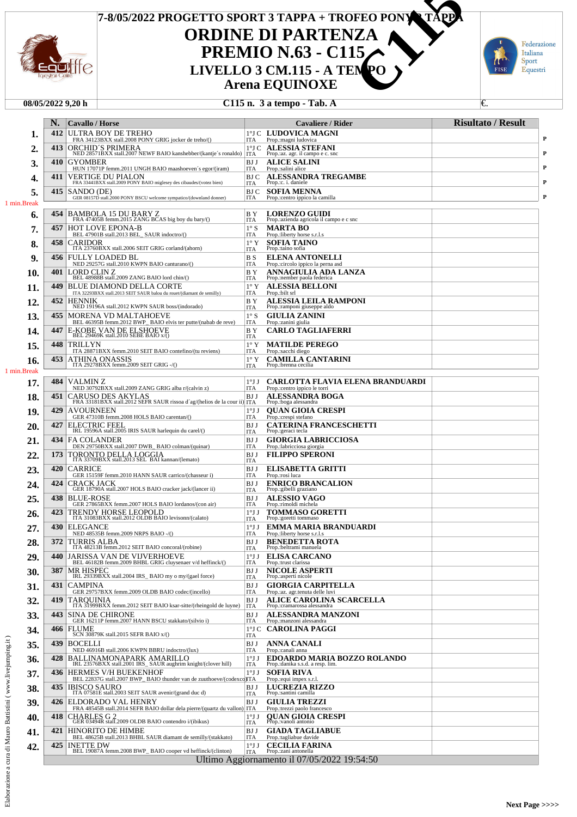## **LETTO SPORT 3 TAPPA + TROFEO PONY TAPPA**<br> **PREMIO N.63 - C115<br>
LIVELLO 3 CM.115 - A TENPO**<br> **Arena EQUINOXE**<br>
C115 n. 3 a tempo - Tab. A **7-8/05/2022 PROGETTO SPORT 3 TAPPA + TROFEO PONY 2 TAPPA ORDINE DI PARTENZA PREMIO N.63 - C115**<br>LIVELLO 3 CM.115 - A TENPO ulffe FISE **Arena EQUINOXE**

#### **08/05/2022 9,20 h C115 n. 3 a tempo - Tab. A** €.

|                                                      |      | <b>Cavallo</b> / Horse                                                                                                                       |                               | Cavaliere / Rider                                                       | <b>Risultato / Result</b> |
|------------------------------------------------------|------|----------------------------------------------------------------------------------------------------------------------------------------------|-------------------------------|-------------------------------------------------------------------------|---------------------------|
| ı.                                                   | 412  | ULTRA BOY DE TREHO<br>FRA 34123BXX stall.2008 PONY GRIG jocker de treho/()                                                                   | ITA                           | 1°J C LUDOVICA MAGNI<br>Prop.: magni ludovica                           |                           |
| 2.                                                   | 413  | ORCHID'S PRIMERA<br>NED 28571BXX stall.2007 NEWF BAIO kanshebber/(kantje's ronaldo)                                                          | $1^{\circ}$ J C               | <b>ALESSIA STEFANI</b><br>Prop.:az. agr. il campo e c. snc              |                           |
| 3.                                                   | 410  | <b>GYOMBER</b>                                                                                                                               | <b>ITA</b><br>BJ J            | <b>ALICE SALINI</b>                                                     |                           |
| 4.                                                   | 411  | HUN 17071P femm.2011 UNGH BAIO maashoeven's egor/(iram)<br><b>VERTIGE DU PIALON</b>                                                          | ITA<br>BJ C                   | Prop.:salini alice<br><b>ALESSANDRA TREGAMBE</b>                        |                           |
| 5.                                                   | 415  | FRA 33441BXX stall.2009 PONY BAIO miglesey des cibaudes/(votez bien)<br>SANDO (DE)                                                           | ITA<br><b>BJC</b>             | Prop.:c. i. daniele<br><b>SOFIA MENNA</b>                               |                           |
| 1 min.Break                                          |      | GER 08157D stall.2000 PONY BSCU welcome sympatico/(downland donner)                                                                          | <b>ITA</b>                    | Prop.:centro ippico la camilla                                          |                           |
| 6.                                                   | 454  | BAMBOLA 15 DU BARY Z<br>FRA 47405B femm.2015 ZANG BCAS big boy du bary/()                                                                    | B Y<br>ITA                    | <b>LORENZO GUIDI</b><br>Prop.:azienda agricola il campo e c snc         |                           |
| 7.                                                   | 457  | <b>HOT LOVE EPONA-B</b><br>BEL 47901B stall.2013 BEL_ SAUR indoctro/()                                                                       | $1^{\circ}$ S<br>ITA          | MARTA BO<br>Prop.:liberty horse s.r.l.s                                 |                           |
| 8.                                                   | 458  | CARIDOR<br>ITA 23760BXX stall.2006 SEIT GRIG corland/(ahorn)                                                                                 | $1^{\circ}$ Y<br>ITA          | <b>SOFIA TAINO</b><br>Prop.:taino sofia                                 |                           |
| 9.                                                   | 456  | FULLY LOADED BL<br>NED 29257G stall.2010 KWPN BAIO canturano/()                                                                              | B S<br>ITA                    | <b>ELENA ANTONELLI</b><br>Prop.: circolo ippico la perna asd            |                           |
| 10.                                                  | 401  | LORD CLIN Z<br>BEL 48988B stall.2009 ZANG BAIO lord chin/()                                                                                  | B Y<br>ITA                    | ANNAGIULIA ADA LANZA<br>Prop.:nember paola federica                     |                           |
| 11.                                                  | 449  | BLUE DIAMOND DELLA CORTE                                                                                                                     | $1^\circ$ Y<br>ITA            | <b>ALESSIA BELLONI</b>                                                  |                           |
| 12.                                                  | 452  | ITA 32293BXX stall.2013 SEIT SAUR balou du rouet/(diamant de semilly)<br><b>HENNIK</b><br>NED 19196A stall.2012 KWPN SAUR boss/(indorado)    | B Y                           | Prop.:bilt srl<br>ALESSIA LEILA RAMPONI                                 |                           |
| 13.                                                  | 455  | MORENA VD MALTAHOEVE                                                                                                                         | ITA<br>$1^{\circ}$ S          | Prop.:ramponi giuseppe aldo<br><b>GIULIA ZANINI</b>                     |                           |
| 14.                                                  | 447  | BEL 46395B femm.2012 BWP_BAIO elvis ter putte/(nabab de reve)<br>E-KOBE VAN DE ELSHOEVE<br>BEL 29469K stall.2010 SEBE BAIO x/()              | ITA<br>B Y                    | Prop.:zanini giulia<br><b>CARLO TAGLIAFERRI</b>                         |                           |
| 15.                                                  | 448  | TRILLYN                                                                                                                                      | ITA<br>$1^\circ$ Y            | <b>MATILDE PEREGO</b>                                                   |                           |
| 16.                                                  | 453  | ITA 28871BXX femm.2010 SEIT BAIO contefino/(tu reviens)<br>ATHINA ONASSIS<br>ITA 29278BXX femm.2009 SEIT GRIG -/()                           | ITA<br>1° Y                   | Prop.:sacchi diego<br><b>CAMILLA CANTARINI</b>                          |                           |
| 1 min.Break                                          |      |                                                                                                                                              | ITA                           | Prop.:brenna cecilia                                                    |                           |
| 17.                                                  | 484  | <b>VALMINZ</b><br>NED 30792BXX stall.2009 ZANG GRIG alba r/(calvin z)                                                                        | $1^{\circ}$ J J<br>ITA        | <b>CARLOTTA FLAVIA ELENA BRANDUARDI</b><br>Prop.:centro ippico le torri |                           |
| 18.                                                  | 451  | <b>CARUSO DES AKYLAS</b><br>FRA 33181BXX stall.2012 SEFR SAUR rissoa d'ag/(helios de la cour ii) ITA                                         | BJ J                          | ALESSANDRA BOGA<br>Prop.:boga alessandra                                |                           |
| 19.                                                  | 429  | <b>AVOURNEEN</b><br>GER 47310B femm.2008 HOLS BAIO carentan/()                                                                               | $1^{\circ}$ J J<br>ITA        | <b>QUAN GIOIA CRESPI</b><br>Prop.: crespi stefano                       |                           |
| 20.                                                  | 427  | <b>ELECTRIC FEEL</b>                                                                                                                         | BJ J                          | <b>CATERINA FRANCESCHETTI</b>                                           |                           |
| 21.                                                  | 434  | IRL 19596A stall.2005 IRIS SAUR harlequin du carel/()<br><b>FA COLANDER</b>                                                                  | ITA<br>BJ J                   | Prop.: geraci tecla<br><b>GIORGIA LABRICCIOSA</b>                       |                           |
| 22.                                                  | 173  | DEN 29750BXX stall.2007 DWB_BAIO colman/(quinar)<br>TORONTO DELLA LOGGIA                                                                     | ITA<br>BJ J                   | Prop.:labricciosa giorgia<br><b>FILIPPO SPERONI</b>                     |                           |
| 23.                                                  | 420  | ITA 33709BXX stall.2013 SEL BAI kannan/(lemato)<br><b>CARRICE</b>                                                                            | ITA<br>BJ J                   | ELISABETTA GRITTI                                                       |                           |
| 24.                                                  | 424  | GER 15159F femm.2010 HANN SAUR carrico/(chasseur i)<br><b>CRACK JACK</b>                                                                     | ITA<br>BJ J                   | Prop.: rosi luca<br><b>ENRICO BRANCALION</b>                            |                           |
| 25.                                                  | 438  | GER 18790A stall.2007 HOLS BAIO cracker jack/(lancer ii)<br><b>BLUE-ROSE</b>                                                                 | ITA<br>BJ J                   | Prop.:gibelli graziano<br><b>ALESSIO VAGO</b>                           |                           |
|                                                      | 423  | GER 27865BXX femm.2007 HOLS BAIO lordanos/(con air)<br><b>TRENDY HORSE LEOPOLD</b>                                                           | ITA<br>$1^{\circ}$ JJ         | Prop.:rimoldi michela<br><b>TOMMASO GORETTI</b>                         |                           |
| 26.                                                  | 430- | ITA 31083BXX stall.2012 OLDB BAIO levisonn/(calato)<br>ELEGANCE                                                                              | ITA<br>$1^{\circ}$ JJ         | Prop.: goretti tommaso<br>EMMA MARIA BRANDUARDI                         |                           |
| 27.<br>ንହ                                            | 372  | NED 48535B femm.2009 NRPS BAIO -/()<br><b>TURRIS ALBA</b>                                                                                    | ITA<br>BJ J                   | Prop.:liberty horse s.r.l.s<br><b>BENEDETTA ROTA</b>                    |                           |
| 40.                                                  |      | ITA 48213B femm.2012 SEIT BAIO concoral/(robine)                                                                                             | ITA                           | Prop.:beltrami manuela                                                  |                           |
| 29.                                                  | 440  | JARISSA VAN DE VIJVERHOEVE<br>BEL 46182B femm.2009 BHBL GRIG cluysenaer v/d heffinck/()                                                      | $1^{\circ}$ JJ<br>ITA         | <b>ELISA CARCANO</b><br>Prop.:trust clarissa                            |                           |
| 30.                                                  | 387  | <b>MR HISPEC</b><br>IRL 29339BXX stall.2004 IRS_BAIO my o my/(gael force)                                                                    | BJ J<br><b>ITA</b>            | <b>NICOLE ASPERTI</b><br>Prop.:asperti nicole                           |                           |
| 31.                                                  | 431  | <b>CAMPINA</b><br>GER 29757BXX femm.2009 OLDB BAIO codec/(incello)                                                                           | BJ J<br><b>ITA</b>            | <b>GIORGIA CARPITELLA</b><br>Prop.:az. agr.tenuta delle luvi            |                           |
| 32.                                                  | 419  | <b>TAROUINIA</b><br>ITA 31999BXX femm.2012 SEIT BAIO ksar-sitte/(rheingold de luyne)                                                         | BJ J<br>ITA                   | <b>ALICE CAROLINA SCARCELLA</b><br>Prop.: cramarossa alessandra         |                           |
| 33.                                                  | 443  | <b>SINA DE CHIRONE</b><br>GER 16211P femm.2007 HANN BSCU stakkato/(silvio i)                                                                 | BJ J<br><b>ITA</b>            | <b>ALESSANDRA MANZONI</b><br>Prop.:manzoni alessandra                   |                           |
| 34.                                                  | 466  | <b>FLUME</b><br>SCN 30879K stall.2015 SEFR BAIO x/()                                                                                         | ITA                           | 1°J C CAROLINA PAGGI                                                    |                           |
| 35.                                                  | 439  | <b>BOCELLI</b><br>NED 46916B stall.2006 KWPN BBRU indoctro/(lux)                                                                             | BJ J<br><b>ITA</b>            | <b>ANNA CANALI</b><br>Prop.: canali anna                                |                           |
| 36.                                                  | 428  | BALLINAMONAPARK AMARILLO<br>IRL 23576BXX stall.2001 IRS_SAUR aughrim knight/(clover hill)                                                    | $1^{\circ}$ J J<br>ITA        | <b>EDOARDO MARIA BOZZO ROLANDO</b><br>Prop.:danika s.s.d. a resp. lim.  |                           |
| 37.                                                  | 436  | <b>HERMES V/H BUEKENHOF</b><br>BEL 22837G stall.2007 BWP_BAIO thunder van de zuuthoeve/(codexcq)ITA                                          | $1^{\circ}$ J J               | <b>SOFIA RIVA</b><br>Prop.:equi impex s.r.l.                            |                           |
| 38.                                                  | 435  | <b>IBISCO SAURO</b><br>ITA 07581E stall.2003 SEIT SAUR avenir/(grand duc d)                                                                  | BJ J                          | <b>LUCREZIA RIZZO</b><br>Prop.:santini camilla                          |                           |
| 39.                                                  | 426  | ELDORADO VAL HENRY                                                                                                                           | ITA<br>BJ J                   | <b>GIULIA TREZZI</b>                                                    |                           |
| 40.                                                  | 418  | FRA 48545B stall.2014 SEFR BAIO dollar dela pierre/(quartz du vallon)<br>CHARLES G 2<br>GER 03494R stall.2009 OLDB BAIO contendro i/(ibikus) | <b>ITA</b><br>1°JJ            | Prop.:trezzi paolo francesco<br><b>QUAN GIOIA CRESPI</b>                |                           |
| cura di Mauro Battistini (www.livejumping.it)<br>41. | 421  | <b>HINORITO DE HIMBE</b>                                                                                                                     | ITA<br>BJ J                   | Prop.:vanoli antonio<br><b>GIADA TAGLIABUE</b>                          |                           |
| 42.                                                  | 425  | BEL 48625B stall.2013 BHBL SAUR diamant de semilly/(stakkato)<br><b>INETTE DW</b>                                                            | <b>ITA</b><br>$1^{\circ}$ J J | Prop.:tagliabue davide<br><b>CECILIA FARINA</b>                         |                           |
|                                                      |      | BEL 19087A femm.2008 BWP_BAIO cooper vd heffinck/(clinton)                                                                                   | <b>ITA</b>                    | Prop.:zani antonella<br>Ultimo Aggiornamento il 07/05/2022 19:54:50     |                           |

Federazione Italiana

Sport Equestri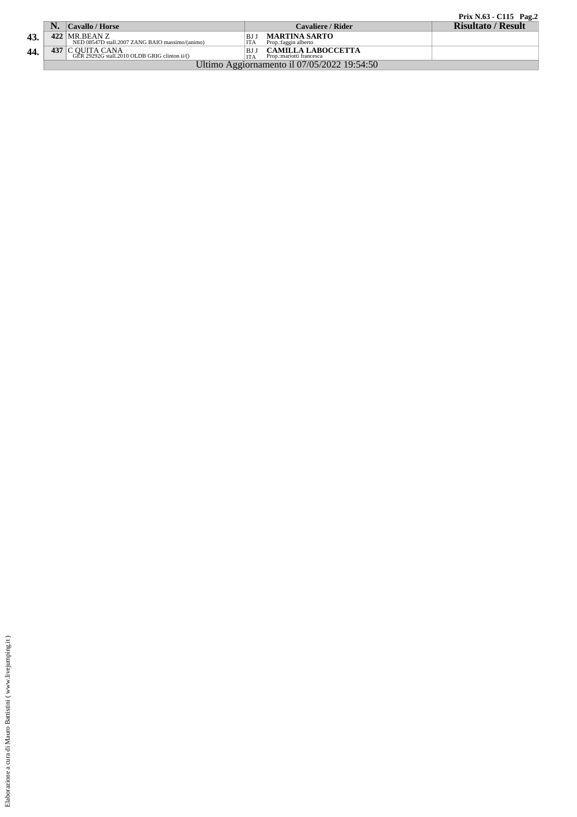|   |  | Prix N.63 - C115 Pag.2 |  |
|---|--|------------------------|--|
| . |  |                        |  |

|     | <b>NT</b>                                   | <b>Cavallo / Horse</b>                                        |            | <b>Cavaliere / Rider</b>  | <b>Risultato / Result</b> |
|-----|---------------------------------------------|---------------------------------------------------------------|------------|---------------------------|---------------------------|
| 43. |                                             | $422$ MR.BEAN Z                                               | ΒJ         | <b>MARTINA SARTO</b>      |                           |
|     |                                             | NED 08547D stall.2007 ZANG BAIO massimo/(animo)               | <b>ITA</b> | Prop.: faggin alberto     |                           |
| 44. | 437                                         | C QUITA CANA<br>GER 29292G stall.2010 OLDB GRIG clinton ii/() | BJ         | CAMILLA LABOCCETTA        |                           |
|     |                                             |                                                               |            | Prop.: mariotti francesca |                           |
|     | Ultimo Aggiornamento il 07/05/2022 19:54:50 |                                                               |            |                           |                           |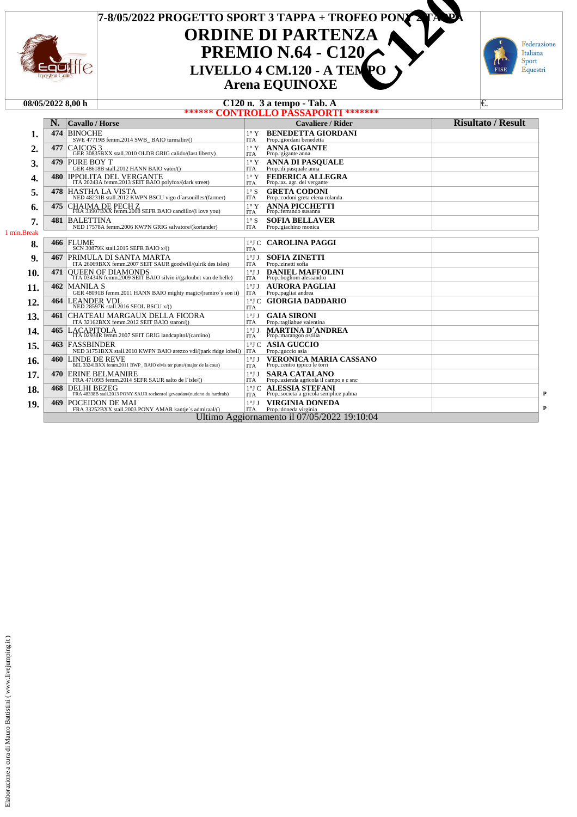

| 08/05/2022 8.00 h | $\sim$<br>Tab. A<br>tempo -<br>'n.<br>я<br>-14V |  |
|-------------------|-------------------------------------------------|--|
|                   | *******<br>CONTROLLO PASSAPORTI                 |  |

|             | N.  | <b>Cavallo / Horse</b>                                                                           |                               | <b>Cavaliere / Rider</b>                                         | <b>Risultato / Result</b> |
|-------------|-----|--------------------------------------------------------------------------------------------------|-------------------------------|------------------------------------------------------------------|---------------------------|
| 1.          |     | 474 BINOCHE<br>SWE 47719B femm.2014 SWB BAIO turmalin/()                                         | $1^\circ$ Y<br>ITA            | <b>BENEDETTA GIORDANI</b><br>Prop.:giordani benedetta            |                           |
| 2.          | 477 | CAICOS <sub>3</sub><br>GER 30835BXX stall.2010 OLDB GRIG calido/(last liberty)                   | $1^{\circ}$ Y<br>ITA          | <b>ANNA GIGANTE</b><br>Prop.: gigante anna                       |                           |
| 3.          | 479 | PURE BOY T<br>GER 48618B stall.2012 HANN BAIO vater/()                                           | $1^\circ$ Y<br>ITA            | <b>ANNA DI PASOUALE</b><br>Prop.:di pasquale anna                |                           |
| 4.          | 480 | <b>IPPOLITA DEL VERGANTE</b><br>ITA 20243A femm.2013 SEIT BAIO polyfox/(dark street)             | $1^{\circ}$ Y<br>ITA          | FEDERICA ALLEGRA<br>Prop.:az. agr. del vergante                  |                           |
| 5.          |     | 478 HASTHA LA VISTA<br>NED 48231B stall.2012 KWPN BSCU vigo d'arsouilles/(farmer)                | $1^\circ S$<br>ITA            | <b>GRETA CODONI</b><br>Prop.: codoni greta elena rolanda         |                           |
| 6.          |     | 475 CHAIMA DE PECH Z<br>FRA 33907BXX femm.2008 SEFR BAIO candillo/(i love you)                   | $1^{\circ}$ Y<br>ITA          | <b>ANNA PICCHETTI</b><br>Prop.:ferrando susanna                  |                           |
| 7.          | 481 | <b>BALETTINA</b><br>NED 17578A femm.2006 KWPN GRIG salvatore/(koriander)                         | $1^\circ S$<br><b>ITA</b>     | <b>SOFIA BELLAVER</b><br>Prop.: giachino monica                  |                           |
| 1 min.Break |     |                                                                                                  |                               |                                                                  |                           |
| 8.          |     | <b>466 FLUME</b><br>SCN 30879K stall.2015 SEFR BAIO x/()                                         | <b>ITA</b>                    | 1ºJ C CAROLINA PAGGI                                             |                           |
| 9.          |     | <b>467 PRIMULA DI SANTA MARTA</b><br>ITA 26069BXX femm.2007 SEIT SAUR goodwill/(ulrik des isles) | $1^{\circ}$ J J<br>ITA        | <b>SOFIA ZINETTI</b><br>Prop.:zinetti sofia                      |                           |
| 10.         | 471 | QUEEN OF DIAMONDS<br>TTA 03434N femm.2009 SEIT BAIO silvio i/(galoubet van de helle)             | $1^{\circ}$ J J<br><b>ITA</b> | <b>DANIEL MAFFOLINI</b><br>Prop.:boglioni alessandro             |                           |
| 11.         | 462 | <b>MANILA S</b><br>GER 48091B femm.2011 HANN BAIO mighty magic/(ramiro's son ii)                 | $1^{\circ}$ J J<br><b>ITA</b> | <b>AURORA PAGLIAI</b><br>Prop.:pagliai andrea                    |                           |
| 12.         | 464 | <b>LEANDER VDL</b><br>NED 28597K stall.2016 SEOL BSCU x/()                                       | $1^{\circ}$ J C<br>ITA        | <b>GIORGIA DADDARIO</b>                                          |                           |
| 13.         |     | <b>461 CHATEAU MARGAUX DELLA FICORA</b><br>ITA 32162BXX femm.2012 SEIT BAIO staron/()            | $1^{\circ}$ J J<br>ITA        | <b>GAIA SIRONI</b><br>Prop.:tagliabue valentina                  |                           |
| 14.         |     | 465 LACAPITOLA<br>ITA 02938R femm.2007 SEIT GRIG landcapitol/(cardino)                           | 1°JJ<br><b>ITA</b>            | <b>MARTINA D'ANDREA</b><br>Prop.:marangon ostilia                |                           |
| 15.         |     | 463 FASSBINDER<br>NED 31751BXX stall.2010 KWPN BAIO arezzo vdl/(park ridge lobell)               | <b>ITA</b>                    | 1°J C ASIA GUCCIO<br>Prop.:guccio asia                           |                           |
| 16.         | 460 | <b>LINDE DE REVE</b><br>BEL 33241BXX femm.2011 BWP BAIO elvis ter putte/(major de la cour)       | 1°JJ<br><b>ITA</b>            | <b>VERONICA MARIA CASSANO</b><br>Prop.:centro ippico le torri    |                           |
| 17.         |     | 470 ERINE BELMANIRE<br>FRA 47109B femm.2014 SEFR SAUR salto de l'isle/()                         | 1°JJ<br>ITA                   | <b>SARA CATALANO</b><br>Prop.: azienda agricola il campo e c snc |                           |
| 18.         | 468 | <b>DELHI BEZEG</b><br>FRA 48338B stall.2013 PONY SAUR rockenrol gevaudan/(nudeno du hardrais)    | <b>ITA</b>                    | 1°J C ALESSIA STEFANI<br>Prop.:societa'a gricola semplice palma  |                           |
| 19.         |     | 469 POCEIDON DE MAI<br>FRA 33252BXX stall.2003 PONY AMAR kantie's admiraal/()                    | 1°JJ<br><b>ITA</b>            | VIRGINIA DONEDA<br>Prop.: doneda virginia                        |                           |
|             |     |                                                                                                  |                               | Ultimo Aggiornamento il 07/05/2022 19:10:04                      |                           |

Federazione Italiana

Sport

Equestri